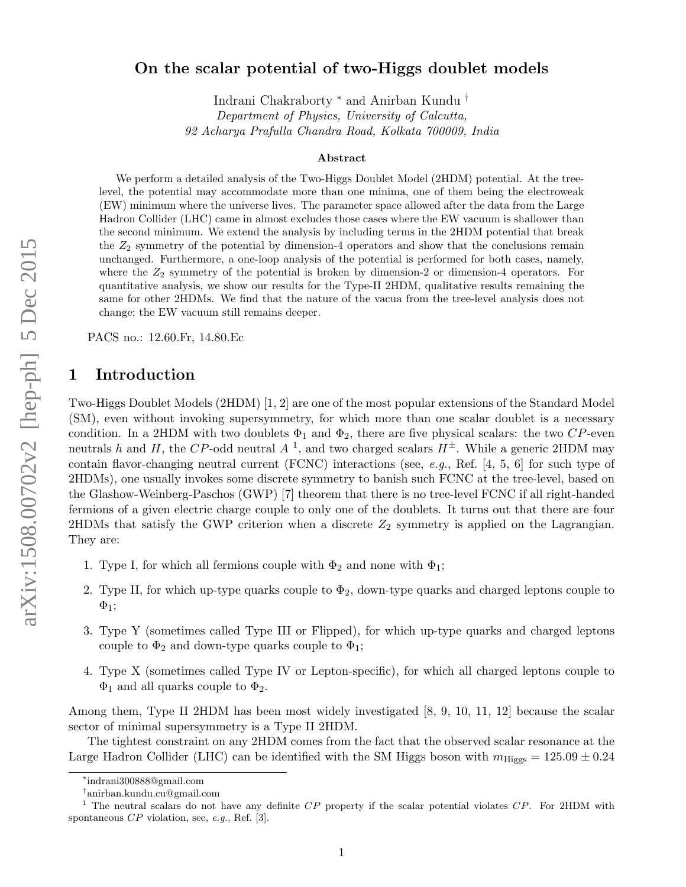# arXiv:1508.00702v2 [hep-ph] 5 Dec 2015 arXiv:1508.00702v2 [hep-ph] 5 Dec 2015

# On the scalar potential of two-Higgs doublet models

Indrani Chakraborty [∗](#page-0-0) and Anirban Kundu [†](#page-0-1)

Department of Physics, University of Calcutta, 92 Acharya Prafulla Chandra Road, Kolkata 700009, India

#### Abstract

We perform a detailed analysis of the Two-Higgs Doublet Model (2HDM) potential. At the treelevel, the potential may accommodate more than one minima, one of them being the electroweak (EW) minimum where the universe lives. The parameter space allowed after the data from the Large Hadron Collider (LHC) came in almost excludes those cases where the EW vacuum is shallower than the second minimum. We extend the analysis by including terms in the 2HDM potential that break the  $Z_2$  symmetry of the potential by dimension-4 operators and show that the conclusions remain unchanged. Furthermore, a one-loop analysis of the potential is performed for both cases, namely, where the  $Z_2$  symmetry of the potential is broken by dimension-2 or dimension-4 operators. For quantitative analysis, we show our results for the Type-II 2HDM, qualitative results remaining the same for other 2HDMs. We find that the nature of the vacua from the tree-level analysis does not change; the EW vacuum still remains deeper.

PACS no.: 12.60.Fr, 14.80.Ec

# 1 Introduction

Two-Higgs Doublet Models (2HDM) [\[1,](#page-18-0) [2\]](#page-18-1) are one of the most popular extensions of the Standard Model (SM), even without invoking supersymmetry, for which more than one scalar doublet is a necessary condition. In a 2HDM with two doublets  $\Phi_1$  and  $\Phi_2$ , there are five physical scalars: the two CP-even neutrals h and H, the CP-odd neutral  $A^{-1}$  $A^{-1}$  $A^{-1}$ , and two charged scalars  $H^{\pm}$ . While a generic 2HDM may contain flavor-changing neutral current (FCNC) interactions (see, e.g., Ref. [\[4,](#page-19-0) [5,](#page-19-1) [6\]](#page-19-2) for such type of 2HDMs), one usually invokes some discrete symmetry to banish such FCNC at the tree-level, based on the Glashow-Weinberg-Paschos (GWP) [\[7\]](#page-19-3) theorem that there is no tree-level FCNC if all right-handed fermions of a given electric charge couple to only one of the doublets. It turns out that there are four 2HDMs that satisfy the GWP criterion when a discrete  $Z_2$  symmetry is applied on the Lagrangian. They are:

- 1. Type I, for which all fermions couple with  $\Phi_2$  and none with  $\Phi_1$ ;
- 2. Type II, for which up-type quarks couple to  $\Phi_2$ , down-type quarks and charged leptons couple to  $\Phi_1$ ;
- 3. Type Y (sometimes called Type III or Flipped), for which up-type quarks and charged leptons couple to  $\Phi_2$  and down-type quarks couple to  $\Phi_1$ ;
- 4. Type X (sometimes called Type IV or Lepton-specific), for which all charged leptons couple to  $\Phi_1$  and all quarks couple to  $\Phi_2$ .

Among them, Type II 2HDM has been most widely investigated [\[8,](#page-19-4) [9,](#page-19-5) [10,](#page-19-6) [11,](#page-19-7) [12\]](#page-19-8) because the scalar sector of minimal supersymmetry is a Type II 2HDM.

The tightest constraint on any 2HDM comes from the fact that the observed scalar resonance at the Large Hadron Collider (LHC) can be identified with the SM Higgs boson with  $m_{\text{Higgs}} = 125.09 \pm 0.24$ 

<span id="page-0-0"></span><sup>∗</sup> indrani300888@gmail.com

<span id="page-0-2"></span><span id="page-0-1"></span><sup>†</sup> anirban.kundu.cu@gmail.com

<sup>&</sup>lt;sup>1</sup> The neutral scalars do not have any definite  $CP$  property if the scalar potential violates  $CP$ . For 2HDM with spontaneous  $CP$  violation, see, e.g., Ref. [\[3\]](#page-19-9).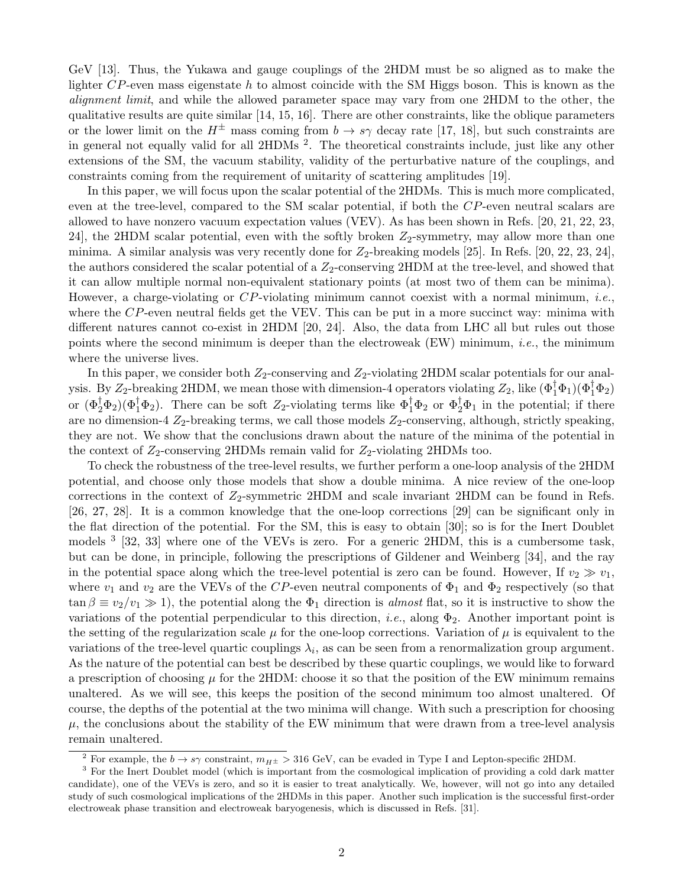GeV [\[13\]](#page-19-10). Thus, the Yukawa and gauge couplings of the 2HDM must be so aligned as to make the lighter  $CP$ -even mass eigenstate h to almost coincide with the SM Higgs boson. This is known as the alignment limit, and while the allowed parameter space may vary from one 2HDM to the other, the qualitative results are quite similar [\[14,](#page-19-11) [15,](#page-19-12) [16\]](#page-19-13). There are other constraints, like the oblique parameters or the lower limit on the  $H^{\pm}$  mass coming from  $b \to s\gamma$  decay rate [\[17,](#page-19-14) [18\]](#page-19-15), but such constraints are in general not equally valid for all [2](#page-1-0)HDMs<sup>2</sup>. The theoretical constraints include, just like any other extensions of the SM, the vacuum stability, validity of the perturbative nature of the couplings, and constraints coming from the requirement of unitarity of scattering amplitudes [\[19\]](#page-19-16).

In this paper, we will focus upon the scalar potential of the 2HDMs. This is much more complicated, even at the tree-level, compared to the SM scalar potential, if both the CP-even neutral scalars are allowed to have nonzero vacuum expectation values (VEV). As has been shown in Refs. [\[20,](#page-19-17) [21,](#page-20-0) [22,](#page-20-1) [23,](#page-20-2)  $24$ , the 2HDM scalar potential, even with the softly broken  $Z_2$ -symmetry, may allow more than one minima. A similar analysis was very recently done for  $Z_2$ -breaking models [\[25\]](#page-20-4). In Refs. [\[20,](#page-19-17) [22,](#page-20-1) [23,](#page-20-2) [24\]](#page-20-3), the authors considered the scalar potential of a  $Z_2$ -conserving 2HDM at the tree-level, and showed that it can allow multiple normal non-equivalent stationary points (at most two of them can be minima). However, a charge-violating or  $CP$ -violating minimum cannot coexist with a normal minimum, *i.e.*, where the  $CP$ -even neutral fields get the VEV. This can be put in a more succinct way: minima with different natures cannot co-exist in 2HDM [\[20,](#page-19-17) [24\]](#page-20-3). Also, the data from LHC all but rules out those points where the second minimum is deeper than the electroweak (EW) minimum, i.e., the minimum where the universe lives.

In this paper, we consider both  $Z_2$ -conserving and  $Z_2$ -violating 2HDM scalar potentials for our analysis. By  $Z_2$ -breaking 2HDM, we mean those with dimension-4 operators violating  $Z_2$ , like  $(\Phi_1^{\dagger} \Phi_1)(\Phi_1^{\dagger} \Phi_2)$ or  $(\Phi_2^{\dagger} \Phi_2)(\Phi_1^{\dagger} \Phi_2)$ . There can be soft  $Z_2$ -violating terms like  $\Phi_1^{\dagger} \Phi_2$  or  $\Phi_2^{\dagger} \Phi_1$  in the potential; if there are no dimension-4  $Z_2$ -breaking terms, we call those models  $Z_2$ -conserving, although, strictly speaking, they are not. We show that the conclusions drawn about the nature of the minima of the potential in the context of  $Z_2$ -conserving 2HDMs remain valid for  $Z_2$ -violating 2HDMs too.

To check the robustness of the tree-level results, we further perform a one-loop analysis of the 2HDM potential, and choose only those models that show a double minima. A nice review of the one-loop corrections in the context of  $Z_2$ -symmetric 2HDM and scale invariant 2HDM can be found in Refs. [\[26,](#page-20-5) [27,](#page-20-6) [28\]](#page-20-7). It is a common knowledge that the one-loop corrections [\[29\]](#page-20-8) can be significant only in the flat direction of the potential. For the SM, this is easy to obtain [\[30\]](#page-20-9); so is for the Inert Doublet models <sup>[3](#page-1-1)</sup> [\[32,](#page-20-10) [33\]](#page-20-11) where one of the VEVs is zero. For a generic 2HDM, this is a cumbersome task, but can be done, in principle, following the prescriptions of Gildener and Weinberg [\[34\]](#page-20-12), and the ray in the potential space along which the tree-level potential is zero can be found. However, If  $v_2 \gg v_1$ , where  $v_1$  and  $v_2$  are the VEVs of the CP-even neutral components of  $\Phi_1$  and  $\Phi_2$  respectively (so that  $\tan \beta \equiv v_2/v_1 \gg 1$ , the potential along the  $\Phi_1$  direction is *almost* flat, so it is instructive to show the variations of the potential perpendicular to this direction, *i.e.*, along  $\Phi_2$ . Another important point is the setting of the regularization scale  $\mu$  for the one-loop corrections. Variation of  $\mu$  is equivalent to the variations of the tree-level quartic couplings  $\lambda_i$ , as can be seen from a renormalization group argument. As the nature of the potential can best be described by these quartic couplings, we would like to forward a prescription of choosing  $\mu$  for the 2HDM: choose it so that the position of the EW minimum remains unaltered. As we will see, this keeps the position of the second minimum too almost unaltered. Of course, the depths of the potential at the two minima will change. With such a prescription for choosing  $\mu$ , the conclusions about the stability of the EW minimum that were drawn from a tree-level analysis remain unaltered.

<span id="page-1-1"></span><span id="page-1-0"></span><sup>&</sup>lt;sup>2</sup> For example, the  $b \to s\gamma$  constraint,  $m_{H^{\pm}} > 316$  GeV, can be evaded in Type I and Lepton-specific 2HDM.

<sup>&</sup>lt;sup>3</sup> For the Inert Doublet model (which is important from the cosmological implication of providing a cold dark matter candidate), one of the VEVs is zero, and so it is easier to treat analytically. We, however, will not go into any detailed study of such cosmological implications of the 2HDMs in this paper. Another such implication is the successful first-order electroweak phase transition and electroweak baryogenesis, which is discussed in Refs. [\[31\]](#page-20-13).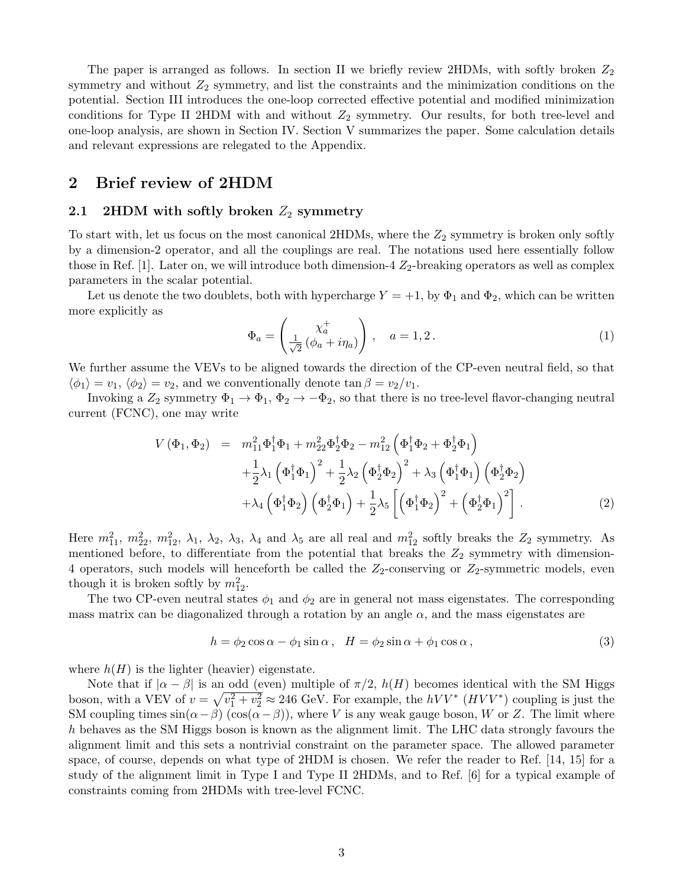The paper is arranged as follows. In section II we briefly review 2HDMs, with softly broken  $Z_2$ symmetry and without  $Z_2$  symmetry, and list the constraints and the minimization conditions on the potential. Section III introduces the one-loop corrected effective potential and modified minimization conditions for Type II 2HDM with and without  $Z_2$  symmetry. Our results, for both tree-level and one-loop analysis, are shown in Section IV. Section V summarizes the paper. Some calculation details and relevant expressions are relegated to the Appendix.

# 2 Brief review of 2HDM

# 2.1 2HDM with softly broken  $Z_2$  symmetry

To start with, let us focus on the most canonical 2HDMs, where the  $Z_2$  symmetry is broken only softly by a dimension-2 operator, and all the couplings are real. The notations used here essentially follow those in Ref. [\[1\]](#page-18-0). Later on, we will introduce both dimension-4  $Z_2$ -breaking operators as well as complex parameters in the scalar potential.

Let us denote the two doublets, both with hypercharge  $Y = +1$ , by  $\Phi_1$  and  $\Phi_2$ , which can be written more explicitly as

$$
\Phi_a = \begin{pmatrix} \chi_a^+ \\ \frac{1}{\sqrt{2}} \left( \phi_a + i \eta_a \right) \end{pmatrix}, \quad a = 1, 2. \tag{1}
$$

We further assume the VEVs to be aligned towards the direction of the CP-even neutral field, so that  $\langle \phi_1 \rangle = v_1, \langle \phi_2 \rangle = v_2$ , and we conventionally denote tan  $\beta = v_2/v_1$ .

Invoking a  $Z_2$  symmetry  $\Phi_1 \to \Phi_1$ ,  $\Phi_2 \to -\Phi_2$ , so that there is no tree-level flavor-changing neutral current (FCNC), one may write

<span id="page-2-0"></span>
$$
V(\Phi_1, \Phi_2) = m_{11}^2 \Phi_1^{\dagger} \Phi_1 + m_{22}^2 \Phi_2^{\dagger} \Phi_2 - m_{12}^2 \left( \Phi_1^{\dagger} \Phi_2 + \Phi_2^{\dagger} \Phi_1 \right) + \frac{1}{2} \lambda_1 \left( \Phi_1^{\dagger} \Phi_1 \right)^2 + \frac{1}{2} \lambda_2 \left( \Phi_2^{\dagger} \Phi_2 \right)^2 + \lambda_3 \left( \Phi_1^{\dagger} \Phi_1 \right) \left( \Phi_2^{\dagger} \Phi_2 \right) + \lambda_4 \left( \Phi_1^{\dagger} \Phi_2 \right) \left( \Phi_2^{\dagger} \Phi_1 \right) + \frac{1}{2} \lambda_5 \left[ \left( \Phi_1^{\dagger} \Phi_2 \right)^2 + \left( \Phi_2^{\dagger} \Phi_1 \right)^2 \right].
$$
 (2)

Here  $m_{11}^2$ ,  $m_{22}^2$ ,  $m_{12}^2$ ,  $\lambda_1$ ,  $\lambda_2$ ,  $\lambda_3$ ,  $\lambda_4$  and  $\lambda_5$  are all real and  $m_{12}^2$  softly breaks the  $Z_2$  symmetry. As mentioned before, to differentiate from the potential that breaks the  $Z_2$  symmetry with dimension-4 operators, such models will henceforth be called the  $Z_2$ -conserving or  $Z_2$ -symmetric models, even though it is broken softly by  $m_{12}^2$ .

The two CP-even neutral states  $\phi_1$  and  $\phi_2$  are in general not mass eigenstates. The corresponding mass matrix can be diagonalized through a rotation by an angle  $\alpha$ , and the mass eigenstates are

$$
h = \phi_2 \cos \alpha - \phi_1 \sin \alpha, \quad H = \phi_2 \sin \alpha + \phi_1 \cos \alpha, \tag{3}
$$

where  $h(H)$  is the lighter (heavier) eigenstate.

Note that if  $|\alpha - \beta|$  is an odd (even) multiple of  $\pi/2$ ,  $h(H)$  becomes identical with the SM Higgs boson, with a VEV of  $v = \sqrt{v_1^2 + v_2^2} \approx 246$  GeV. For example, the  $hVV^*$   $(HVV^*)$  coupling is just the SM coupling times  $sin(\alpha - \beta)$  (cos( $\alpha - \beta$ )), where V is any weak gauge boson, W or Z. The limit where h behaves as the SM Higgs boson is known as the alignment limit. The LHC data strongly favours the alignment limit and this sets a nontrivial constraint on the parameter space. The allowed parameter space, of course, depends on what type of 2HDM is chosen. We refer the reader to Ref. [\[14,](#page-19-11) [15\]](#page-19-12) for a study of the alignment limit in Type I and Type II 2HDMs, and to Ref. [\[6\]](#page-19-2) for a typical example of constraints coming from 2HDMs with tree-level FCNC.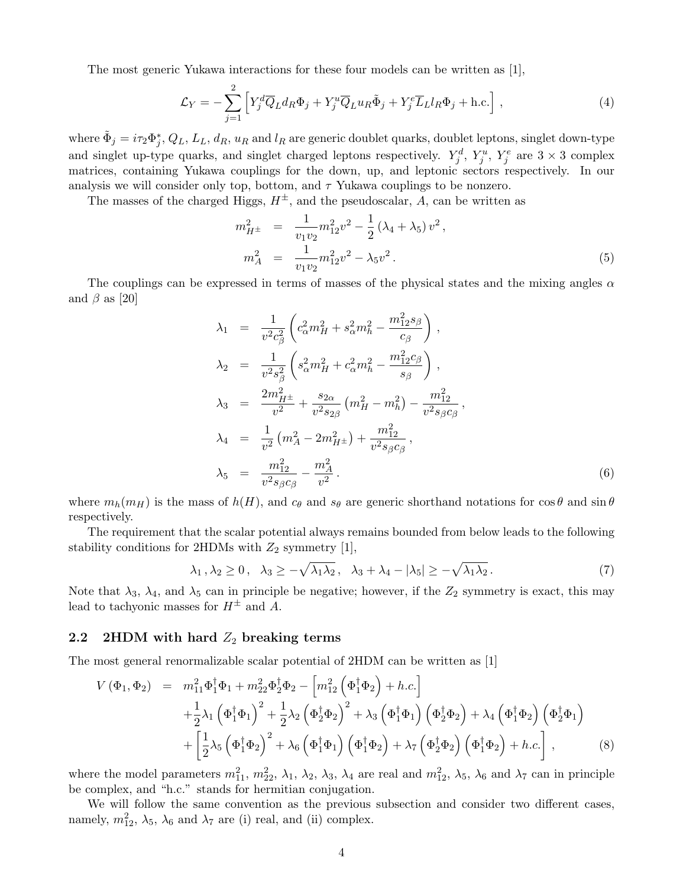The most generic Yukawa interactions for these four models can be written as [\[1\]](#page-18-0),

$$
\mathcal{L}_Y = -\sum_{j=1}^2 \left[ Y_j^d \overline{Q}_L d_R \Phi_j + Y_j^u \overline{Q}_L u_R \tilde{\Phi}_j + Y_j^e \overline{L}_L l_R \Phi_j + \text{h.c.} \right],\tag{4}
$$

where  $\tilde{\Phi}_j = i\tau_2 \Phi_j^*, Q_L, L_L, d_R, u_R$  and  $l_R$  are generic doublet quarks, doublet leptons, singlet down-type and singlet up-type quarks, and singlet charged leptons respectively.  $Y_j^d$ ,  $Y_j^u$ ,  $Y_j^e$  are  $3 \times 3$  complex matrices, containing Yukawa couplings for the down, up, and leptonic sectors respectively. In our analysis we will consider only top, bottom, and  $\tau$  Yukawa couplings to be nonzero.

The masses of the charged Higgs,  $H^{\pm}$ , and the pseudoscalar, A, can be written as

<span id="page-3-0"></span>
$$
m_{H^{\pm}}^{2} = \frac{1}{v_{1}v_{2}} m_{12}^{2} v^{2} - \frac{1}{2} (\lambda_{4} + \lambda_{5}) v^{2},
$$
  
\n
$$
m_{A}^{2} = \frac{1}{v_{1}v_{2}} m_{12}^{2} v^{2} - \lambda_{5} v^{2}.
$$
\n(5)

The couplings can be expressed in terms of masses of the physical states and the mixing angles  $\alpha$ and  $\beta$  as [\[20\]](#page-19-17)

$$
\lambda_1 = \frac{1}{v^2 c_\beta^2} \left( c_\alpha^2 m_H^2 + s_\alpha^2 m_h^2 - \frac{m_{12}^2 s_\beta}{c_\beta} \right),
$$
  
\n
$$
\lambda_2 = \frac{1}{v^2 s_\beta^2} \left( s_\alpha^2 m_H^2 + c_\alpha^2 m_h^2 - \frac{m_{12}^2 c_\beta}{s_\beta} \right),
$$
  
\n
$$
\lambda_3 = \frac{2m_{H^\pm}^2}{v^2} + \frac{s_{2\alpha}}{v^2 s_{2\beta}} \left( m_H^2 - m_h^2 \right) - \frac{m_{12}^2}{v^2 s_\beta c_\beta},
$$
  
\n
$$
\lambda_4 = \frac{1}{v^2} \left( m_A^2 - 2m_{H^\pm}^2 \right) + \frac{m_{12}^2}{v^2 s_\beta c_\beta},
$$
  
\n
$$
\lambda_5 = \frac{m_{12}^2}{v^2 s_\beta c_\beta} - \frac{m_A^2}{v^2}.
$$
  
\n(6)

where  $m_h(m_H)$  is the mass of  $h(H)$ , and  $c_\theta$  and  $s_\theta$  are generic shorthand notations for  $\cos \theta$  and  $\sin \theta$ respectively.

The requirement that the scalar potential always remains bounded from below leads to the following stability conditions for 2HDMs with  $Z_2$  symmetry [\[1\]](#page-18-0),

<span id="page-3-1"></span>
$$
\lambda_1, \lambda_2 \ge 0, \quad \lambda_3 \ge -\sqrt{\lambda_1 \lambda_2}, \quad \lambda_3 + \lambda_4 - |\lambda_5| \ge -\sqrt{\lambda_1 \lambda_2}.
$$
 (7)

Note that  $\lambda_3$ ,  $\lambda_4$ , and  $\lambda_5$  can in principle be negative; however, if the  $Z_2$  symmetry is exact, this may lead to tachyonic masses for  $H^{\pm}$  and A.

#### 2.2 2HDM with hard  $Z_2$  breaking terms

The most general renormalizable scalar potential of 2HDM can be written as [\[1\]](#page-18-0)

<span id="page-3-2"></span>
$$
V(\Phi_1, \Phi_2) = m_{11}^2 \Phi_1^{\dagger} \Phi_1 + m_{22}^2 \Phi_2^{\dagger} \Phi_2 - \left[ m_{12}^2 \left( \Phi_1^{\dagger} \Phi_2 \right) + h.c. \right] + \frac{1}{2} \lambda_1 \left( \Phi_1^{\dagger} \Phi_1 \right)^2 + \frac{1}{2} \lambda_2 \left( \Phi_2^{\dagger} \Phi_2 \right)^2 + \lambda_3 \left( \Phi_1^{\dagger} \Phi_1 \right) \left( \Phi_2^{\dagger} \Phi_2 \right) + \lambda_4 \left( \Phi_1^{\dagger} \Phi_2 \right) \left( \Phi_2^{\dagger} \Phi_1 \right) + \left[ \frac{1}{2} \lambda_5 \left( \Phi_1^{\dagger} \Phi_2 \right)^2 + \lambda_6 \left( \Phi_1^{\dagger} \Phi_1 \right) \left( \Phi_1^{\dagger} \Phi_2 \right) + \lambda_7 \left( \Phi_2^{\dagger} \Phi_2 \right) \left( \Phi_1^{\dagger} \Phi_2 \right) + h.c. \right],
$$
 (8)

where the model parameters  $m_{11}^2$ ,  $m_{22}^2$ ,  $\lambda_1$ ,  $\lambda_2$ ,  $\lambda_3$ ,  $\lambda_4$  are real and  $m_{12}^2$ ,  $\lambda_5$ ,  $\lambda_6$  and  $\lambda_7$  can in principle be complex, and "h.c." stands for hermitian conjugation.

We will follow the same convention as the previous subsection and consider two different cases, namely,  $m_{12}^2$ ,  $\lambda_5$ ,  $\lambda_6$  and  $\lambda_7$  are (i) real, and (ii) complex.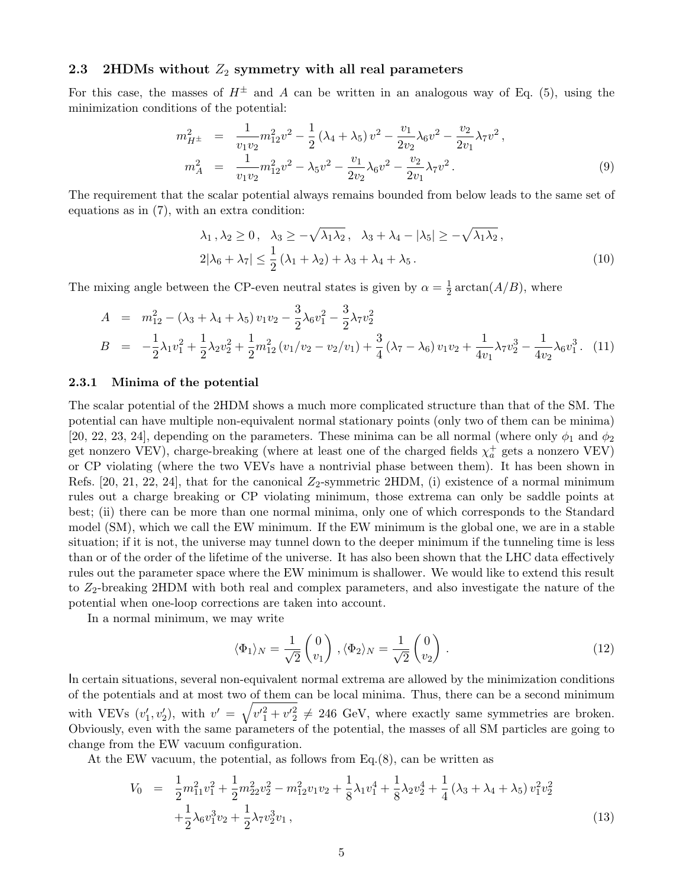# 2.3 2HDMs without  $Z_2$  symmetry with all real parameters

For this case, the masses of  $H^{\pm}$  and A can be written in an analogous way of Eq. [\(5\)](#page-3-0), using the minimization conditions of the potential:

$$
m_{H^{\pm}}^{2} = \frac{1}{v_{1}v_{2}} m_{12}^{2} v^{2} - \frac{1}{2} (\lambda_{4} + \lambda_{5}) v^{2} - \frac{v_{1}}{2v_{2}} \lambda_{6} v^{2} - \frac{v_{2}}{2v_{1}} \lambda_{7} v^{2},
$$
  

$$
m_{A}^{2} = \frac{1}{v_{1}v_{2}} m_{12}^{2} v^{2} - \lambda_{5} v^{2} - \frac{v_{1}}{2v_{2}} \lambda_{6} v^{2} - \frac{v_{2}}{2v_{1}} \lambda_{7} v^{2}.
$$
 (9)

The requirement that the scalar potential always remains bounded from below leads to the same set of equations as in [\(7\)](#page-3-1), with an extra condition:

$$
\lambda_1, \lambda_2 \ge 0, \quad \lambda_3 \ge -\sqrt{\lambda_1 \lambda_2}, \quad \lambda_3 + \lambda_4 - |\lambda_5| \ge -\sqrt{\lambda_1 \lambda_2},
$$
  

$$
2|\lambda_6 + \lambda_7| \le \frac{1}{2}(\lambda_1 + \lambda_2) + \lambda_3 + \lambda_4 + \lambda_5.
$$
 (10)

The mixing angle between the CP-even neutral states is given by  $\alpha = \frac{1}{2}$  $\frac{1}{2} \arctan(A/B)$ , where

$$
A = m_{12}^2 - (\lambda_3 + \lambda_4 + \lambda_5) v_1 v_2 - \frac{3}{2} \lambda_6 v_1^2 - \frac{3}{2} \lambda_7 v_2^2
$$
  
\n
$$
B = -\frac{1}{2} \lambda_1 v_1^2 + \frac{1}{2} \lambda_2 v_2^2 + \frac{1}{2} m_{12}^2 (v_1/v_2 - v_2/v_1) + \frac{3}{4} (\lambda_7 - \lambda_6) v_1 v_2 + \frac{1}{4v_1} \lambda_7 v_2^3 - \frac{1}{4v_2} \lambda_6 v_1^3. (11)
$$

#### 2.3.1 Minima of the potential

The scalar potential of the 2HDM shows a much more complicated structure than that of the SM. The potential can have multiple non-equivalent normal stationary points (only two of them can be minima) [\[20,](#page-19-17) [22,](#page-20-1) [23,](#page-20-2) [24\]](#page-20-3), depending on the parameters. These minima can be all normal (where only  $\phi_1$  and  $\phi_2$ ) get nonzero VEV), charge-breaking (where at least one of the charged fields  $\chi_a^+$  gets a nonzero VEV) or CP violating (where the two VEVs have a nontrivial phase between them). It has been shown in Refs. [\[20,](#page-19-17) [21,](#page-20-0) [22,](#page-20-1) [24\]](#page-20-3), that for the canonical  $Z_2$ -symmetric 2HDM, (i) existence of a normal minimum rules out a charge breaking or CP violating minimum, those extrema can only be saddle points at best; (ii) there can be more than one normal minima, only one of which corresponds to the Standard model (SM), which we call the EW minimum. If the EW minimum is the global one, we are in a stable situation; if it is not, the universe may tunnel down to the deeper minimum if the tunneling time is less than or of the order of the lifetime of the universe. It has also been shown that the LHC data effectively rules out the parameter space where the EW minimum is shallower. We would like to extend this result to Z2-breaking 2HDM with both real and complex parameters, and also investigate the nature of the potential when one-loop corrections are taken into account.

In a normal minimum, we may write

$$
\langle \Phi_1 \rangle_N = \frac{1}{\sqrt{2}} \begin{pmatrix} 0 \\ v_1 \end{pmatrix}, \langle \Phi_2 \rangle_N = \frac{1}{\sqrt{2}} \begin{pmatrix} 0 \\ v_2 \end{pmatrix} . \tag{12}
$$

In certain situations, several non-equivalent normal extrema are allowed by the minimization conditions of the potentials and at most two of them can be local minima. Thus, there can be a second minimum with VEVs  $(v'_1, v'_2)$ , with  $v' = \sqrt{v_1^2 + v_2^2} \neq 246$  GeV, where exactly same symmetries are broken. Obviously, even with the same parameters of the potential, the masses of all SM particles are going to change from the EW vacuum configuration.

At the EW vacuum, the potential, as follows from Eq.[\(8\)](#page-3-2), can be written as

<span id="page-4-0"></span>
$$
V_0 = \frac{1}{2}m_{11}^2v_1^2 + \frac{1}{2}m_{22}^2v_2^2 - m_{12}^2v_1v_2 + \frac{1}{8}\lambda_1v_1^4 + \frac{1}{8}\lambda_2v_2^4 + \frac{1}{4}(\lambda_3 + \lambda_4 + \lambda_5)v_1^2v_2^2
$$
  
 
$$
+ \frac{1}{2}\lambda_6v_1^3v_2 + \frac{1}{2}\lambda_7v_2^3v_1,
$$
 (13)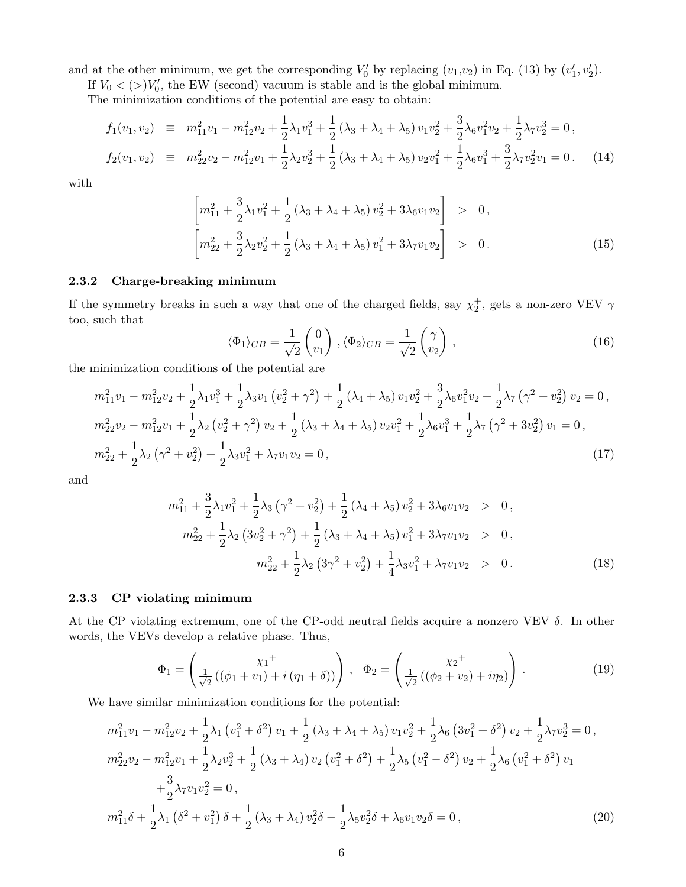and at the other minimum, we get the corresponding  $V'_0$  by replacing  $(v_1, v_2)$  in Eq. [\(13\)](#page-4-0) by  $(v'_1, v'_2)$ .

If  $V_0 < (>)V'_0$ , the EW (second) vacuum is stable and is the global minimum.

The minimization conditions of the potential are easy to obtain:

<span id="page-5-0"></span>
$$
f_1(v_1, v_2) \equiv m_{11}^2 v_1 - m_{12}^2 v_2 + \frac{1}{2} \lambda_1 v_1^3 + \frac{1}{2} (\lambda_3 + \lambda_4 + \lambda_5) v_1 v_2^2 + \frac{3}{2} \lambda_6 v_1^2 v_2 + \frac{1}{2} \lambda_7 v_2^3 = 0,
$$
  

$$
f_2(v_1, v_2) \equiv m_{22}^2 v_2 - m_{12}^2 v_1 + \frac{1}{2} \lambda_2 v_2^3 + \frac{1}{2} (\lambda_3 + \lambda_4 + \lambda_5) v_2 v_1^2 + \frac{1}{2} \lambda_6 v_1^3 + \frac{3}{2} \lambda_7 v_2^2 v_1 = 0.
$$
 (14)

with

$$
\left[ m_{11}^2 + \frac{3}{2} \lambda_1 v_1^2 + \frac{1}{2} (\lambda_3 + \lambda_4 + \lambda_5) v_2^2 + 3 \lambda_6 v_1 v_2 \right] > 0,
$$
  

$$
\left[ m_{22}^2 + \frac{3}{2} \lambda_2 v_2^2 + \frac{1}{2} (\lambda_3 + \lambda_4 + \lambda_5) v_1^2 + 3 \lambda_7 v_1 v_2 \right] > 0.
$$
 (15)

# 2.3.2 Charge-breaking minimum

If the symmetry breaks in such a way that one of the charged fields, say  $\chi_2^+$ , gets a non-zero VEV  $\gamma$ too, such that

$$
\langle \Phi_1 \rangle_{CB} = \frac{1}{\sqrt{2}} \begin{pmatrix} 0 \\ v_1 \end{pmatrix}, \langle \Phi_2 \rangle_{CB} = \frac{1}{\sqrt{2}} \begin{pmatrix} \gamma \\ v_2 \end{pmatrix}, \tag{16}
$$

the minimization conditions of the potential are

$$
m_{11}^{2}v_{1} - m_{12}^{2}v_{2} + \frac{1}{2}\lambda_{1}v_{1}^{3} + \frac{1}{2}\lambda_{3}v_{1} (v_{2}^{2} + \gamma^{2}) + \frac{1}{2}(\lambda_{4} + \lambda_{5}) v_{1}v_{2}^{2} + \frac{3}{2}\lambda_{6}v_{1}^{2}v_{2} + \frac{1}{2}\lambda_{7} (\gamma^{2} + v_{2}^{2}) v_{2} = 0,
$$
  
\n
$$
m_{22}^{2}v_{2} - m_{12}^{2}v_{1} + \frac{1}{2}\lambda_{2} (v_{2}^{2} + \gamma^{2}) v_{2} + \frac{1}{2}(\lambda_{3} + \lambda_{4} + \lambda_{5}) v_{2}v_{1}^{2} + \frac{1}{2}\lambda_{6}v_{1}^{3} + \frac{1}{2}\lambda_{7} (\gamma^{2} + 3v_{2}^{2}) v_{1} = 0,
$$
  
\n
$$
m_{22}^{2} + \frac{1}{2}\lambda_{2} (\gamma^{2} + v_{2}^{2}) + \frac{1}{2}\lambda_{3}v_{1}^{2} + \lambda_{7}v_{1}v_{2} = 0,
$$
\n(17)

and

$$
m_{11}^2 + \frac{3}{2}\lambda_1 v_1^2 + \frac{1}{2}\lambda_3 \left(\gamma^2 + v_2^2\right) + \frac{1}{2} \left(\lambda_4 + \lambda_5\right) v_2^2 + 3\lambda_6 v_1 v_2 > 0,
$$
  
\n
$$
m_{22}^2 + \frac{1}{2}\lambda_2 \left(3v_2^2 + \gamma^2\right) + \frac{1}{2} \left(\lambda_3 + \lambda_4 + \lambda_5\right) v_1^2 + 3\lambda_7 v_1 v_2 > 0,
$$
  
\n
$$
m_{22}^2 + \frac{1}{2}\lambda_2 \left(3\gamma^2 + v_2^2\right) + \frac{1}{4}\lambda_3 v_1^2 + \lambda_7 v_1 v_2 > 0.
$$
\n(18)

#### 2.3.3 CP violating minimum

At the CP violating extremum, one of the CP-odd neutral fields acquire a nonzero VEV  $\delta$ . In other words, the VEVs develop a relative phase. Thus,

$$
\Phi_1 = \begin{pmatrix} \chi_1^+ \\ \frac{1}{\sqrt{2}} \left( (\phi_1 + v_1) + i (\eta_1 + \delta) \right) \end{pmatrix}, \quad \Phi_2 = \begin{pmatrix} \chi_2^+ \\ \frac{1}{\sqrt{2}} \left( (\phi_2 + v_2) + i \eta_2 \right) \end{pmatrix}.
$$
 (19)

We have similar minimization conditions for the potential:

$$
m_{11}^{2}v_{1} - m_{12}^{2}v_{2} + \frac{1}{2}\lambda_{1} \left(v_{1}^{2} + \delta^{2}\right)v_{1} + \frac{1}{2}\left(\lambda_{3} + \lambda_{4} + \lambda_{5}\right)v_{1}v_{2}^{2} + \frac{1}{2}\lambda_{6}\left(3v_{1}^{2} + \delta^{2}\right)v_{2} + \frac{1}{2}\lambda_{7}v_{2}^{3} = 0,
$$
  
\n
$$
m_{22}^{2}v_{2} - m_{12}^{2}v_{1} + \frac{1}{2}\lambda_{2}v_{2}^{3} + \frac{1}{2}\left(\lambda_{3} + \lambda_{4}\right)v_{2}\left(v_{1}^{2} + \delta^{2}\right) + \frac{1}{2}\lambda_{5}\left(v_{1}^{2} - \delta^{2}\right)v_{2} + \frac{1}{2}\lambda_{6}\left(v_{1}^{2} + \delta^{2}\right)v_{1}
$$
  
\n
$$
+ \frac{3}{2}\lambda_{7}v_{1}v_{2}^{2} = 0,
$$
  
\n
$$
m_{11}^{2}\delta + \frac{1}{2}\lambda_{1}\left(\delta^{2} + v_{1}^{2}\right)\delta + \frac{1}{2}\left(\lambda_{3} + \lambda_{4}\right)v_{2}^{2}\delta - \frac{1}{2}\lambda_{5}v_{2}^{2}\delta + \lambda_{6}v_{1}v_{2}\delta = 0,
$$
\n(20)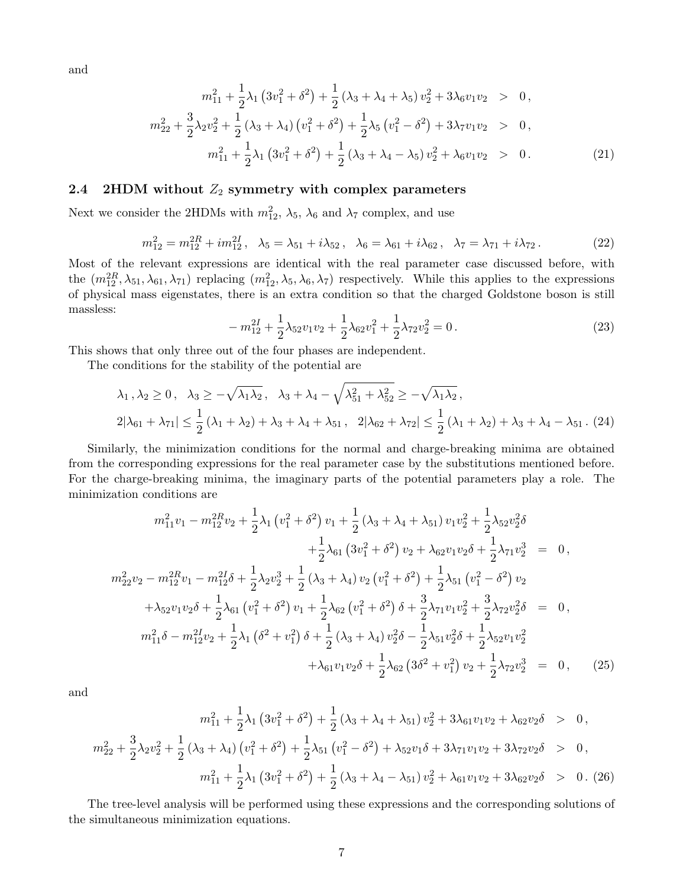and

$$
m_{11}^2 + \frac{1}{2}\lambda_1 \left(3v_1^2 + \delta^2\right) + \frac{1}{2} \left(\lambda_3 + \lambda_4 + \lambda_5\right) v_2^2 + 3\lambda_6 v_1 v_2 > 0,
$$
  

$$
m_{22}^2 + \frac{3}{2}\lambda_2 v_2^2 + \frac{1}{2} \left(\lambda_3 + \lambda_4\right) \left(v_1^2 + \delta^2\right) + \frac{1}{2}\lambda_5 \left(v_1^2 - \delta^2\right) + 3\lambda_7 v_1 v_2 > 0,
$$
  

$$
m_{11}^2 + \frac{1}{2}\lambda_1 \left(3v_1^2 + \delta^2\right) + \frac{1}{2} \left(\lambda_3 + \lambda_4 - \lambda_5\right) v_2^2 + \lambda_6 v_1 v_2 > 0.
$$
 (21)

# 2.4 2HDM without  $Z_2$  symmetry with complex parameters

Next we consider the 2HDMs with  $m_{12}^2$ ,  $\lambda_5$ ,  $\lambda_6$  and  $\lambda_7$  complex, and use

$$
m_{12}^2 = m_{12}^{2R} + im_{12}^{2I}, \quad \lambda_5 = \lambda_{51} + i\lambda_{52}, \quad \lambda_6 = \lambda_{61} + i\lambda_{62}, \quad \lambda_7 = \lambda_{71} + i\lambda_{72}. \tag{22}
$$

Most of the relevant expressions are identical with the real parameter case discussed before, with the  $(m_{12}^{2R}, \lambda_{51}, \lambda_{61}, \lambda_{71})$  replacing  $(m_{12}^2, \lambda_5, \lambda_6, \lambda_7)$  respectively. While this applies to the expressions of physical mass eigenstates, there is an extra condition so that the charged Goldstone boson is still massless:

<span id="page-6-0"></span>
$$
-m_{12}^{2I} + \frac{1}{2}\lambda_{52}v_1v_2 + \frac{1}{2}\lambda_{62}v_1^2 + \frac{1}{2}\lambda_{72}v_2^2 = 0.
$$
 (23)

This shows that only three out of the four phases are independent.

The conditions for the stability of the potential are

$$
\lambda_1, \lambda_2 \ge 0, \quad \lambda_3 \ge -\sqrt{\lambda_1 \lambda_2}, \quad \lambda_3 + \lambda_4 - \sqrt{\lambda_{51}^2 + \lambda_{52}^2} \ge -\sqrt{\lambda_1 \lambda_2},
$$
  

$$
2|\lambda_{61} + \lambda_{71}| \le \frac{1}{2}(\lambda_1 + \lambda_2) + \lambda_3 + \lambda_4 + \lambda_{51}, \quad 2|\lambda_{62} + \lambda_{72}| \le \frac{1}{2}(\lambda_1 + \lambda_2) + \lambda_3 + \lambda_4 - \lambda_{51}. \tag{24}
$$

Similarly, the minimization conditions for the normal and charge-breaking minima are obtained from the corresponding expressions for the real parameter case by the substitutions mentioned before. For the charge-breaking minima, the imaginary parts of the potential parameters play a role. The minimization conditions are

$$
m_{11}^{2}v_{1} - m_{12}^{2R}v_{2} + \frac{1}{2}\lambda_{1} (v_{1}^{2} + \delta^{2}) v_{1} + \frac{1}{2} (\lambda_{3} + \lambda_{4} + \lambda_{51}) v_{1}v_{2}^{2} + \frac{1}{2}\lambda_{52}v_{2}^{2}\delta
$$
  
+  $\frac{1}{2}\lambda_{61} (3v_{1}^{2} + \delta^{2}) v_{2} + \lambda_{62}v_{1}v_{2}\delta + \frac{1}{2}\lambda_{71}v_{2}^{3} = 0,$   

$$
m_{22}^{2}v_{2} - m_{12}^{2R}v_{1} - m_{12}^{2I}\delta + \frac{1}{2}\lambda_{2}v_{2}^{3} + \frac{1}{2} (\lambda_{3} + \lambda_{4}) v_{2} (v_{1}^{2} + \delta^{2}) + \frac{1}{2}\lambda_{51} (v_{1}^{2} - \delta^{2}) v_{2}
$$
  
+  $\lambda_{52}v_{1}v_{2}\delta + \frac{1}{2}\lambda_{61} (v_{1}^{2} + \delta^{2}) v_{1} + \frac{1}{2}\lambda_{62} (v_{1}^{2} + \delta^{2}) \delta + \frac{3}{2}\lambda_{71}v_{1}v_{2}^{2} + \frac{3}{2}\lambda_{72}v_{2}^{2}\delta = 0,$   

$$
m_{11}^{2}\delta - m_{12}^{2I}v_{2} + \frac{1}{2}\lambda_{1} (\delta^{2} + v_{1}^{2}) \delta + \frac{1}{2} (\lambda_{3} + \lambda_{4}) v_{2}^{2}\delta - \frac{1}{2}\lambda_{51}v_{2}^{2}\delta + \frac{1}{2}\lambda_{52}v_{1}v_{2}^{2}
$$
  
+  $\lambda_{61}v_{1}v_{2}\delta + \frac{1}{2}\lambda_{62} (3\delta^{2} + v_{1}^{2}) v_{2} + \frac{1}{2}\lambda_{72}v_{2}^{3} = 0,$  (25)

and

$$
m_{11}^{2} + \frac{1}{2}\lambda_{1}\left(3v_{1}^{2} + \delta^{2}\right) + \frac{1}{2}\left(\lambda_{3} + \lambda_{4} + \lambda_{51}\right)v_{2}^{2} + 3\lambda_{61}v_{1}v_{2} + \lambda_{62}v_{2}\delta > 0,
$$
  

$$
m_{22}^{2} + \frac{3}{2}\lambda_{2}v_{2}^{2} + \frac{1}{2}\left(\lambda_{3} + \lambda_{4}\right)\left(v_{1}^{2} + \delta^{2}\right) + \frac{1}{2}\lambda_{51}\left(v_{1}^{2} - \delta^{2}\right) + \lambda_{52}v_{1}\delta + 3\lambda_{71}v_{1}v_{2} + 3\lambda_{72}v_{2}\delta > 0,
$$
  

$$
m_{11}^{2} + \frac{1}{2}\lambda_{1}\left(3v_{1}^{2} + \delta^{2}\right) + \frac{1}{2}\left(\lambda_{3} + \lambda_{4} - \lambda_{51}\right)v_{2}^{2} + \lambda_{61}v_{1}v_{2} + 3\lambda_{62}v_{2}\delta > 0.
$$
 (26)

The tree-level analysis will be performed using these expressions and the corresponding solutions of the simultaneous minimization equations.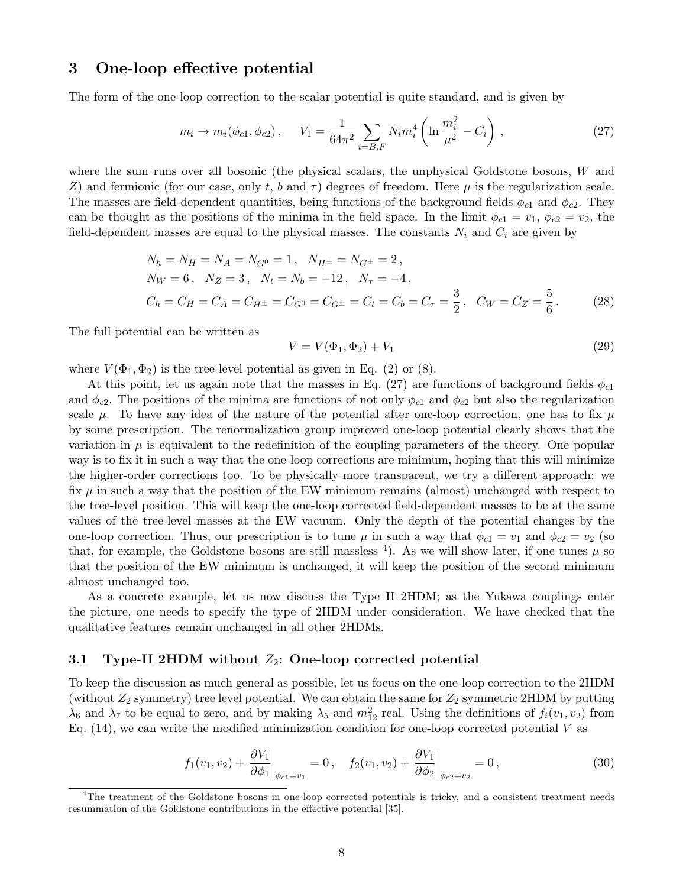# 3 One-loop effective potential

The form of the one-loop correction to the scalar potential is quite standard, and is given by

<span id="page-7-0"></span>
$$
m_i \to m_i(\phi_{c1}, \phi_{c2}), \qquad V_1 = \frac{1}{64\pi^2} \sum_{i=B,F} N_i m_i^4 \left( \ln \frac{m_i^2}{\mu^2} - C_i \right), \tag{27}
$$

where the sum runs over all bosonic (the physical scalars, the unphysical Goldstone bosons, W and Z) and fermionic (for our case, only t, b and  $\tau$ ) degrees of freedom. Here  $\mu$  is the regularization scale. The masses are field-dependent quantities, being functions of the background fields  $\phi_{c1}$  and  $\phi_{c2}$ . They can be thought as the positions of the minima in the field space. In the limit  $\phi_{c1} = v_1, \ \phi_{c2} = v_2$ , the field-dependent masses are equal to the physical masses. The constants  $N_i$  and  $C_i$  are given by

$$
N_h = N_H = N_A = N_{G^0} = 1, \quad N_{H^{\pm}} = N_{G^{\pm}} = 2,
$$
  
\n
$$
N_W = 6, \quad N_Z = 3, \quad N_t = N_b = -12, \quad N_{\tau} = -4,
$$
  
\n
$$
C_h = C_H = C_A = C_{H^{\pm}} = C_{G^0} = C_{G^{\pm}} = C_t = C_b = C_{\tau} = \frac{3}{2}, \quad C_W = C_Z = \frac{5}{6}.
$$
\n(28)

The full potential can be written as

<span id="page-7-2"></span>
$$
V = V(\Phi_1, \Phi_2) + V_1 \tag{29}
$$

where  $V(\Phi_1, \Phi_2)$  is the tree-level potential as given in Eq. [\(2\)](#page-2-0) or [\(8\)](#page-3-2).

At this point, let us again note that the masses in Eq. [\(27\)](#page-7-0) are functions of background fields  $\phi_{c1}$ and  $\phi_{c2}$ . The positions of the minima are functions of not only  $\phi_{c1}$  and  $\phi_{c2}$  but also the regularization scale  $\mu$ . To have any idea of the nature of the potential after one-loop correction, one has to fix  $\mu$ by some prescription. The renormalization group improved one-loop potential clearly shows that the variation in  $\mu$  is equivalent to the redefinition of the coupling parameters of the theory. One popular way is to fix it in such a way that the one-loop corrections are minimum, hoping that this will minimize the higher-order corrections too. To be physically more transparent, we try a different approach: we fix  $\mu$  in such a way that the position of the EW minimum remains (almost) unchanged with respect to the tree-level position. This will keep the one-loop corrected field-dependent masses to be at the same values of the tree-level masses at the EW vacuum. Only the depth of the potential changes by the one-loop correction. Thus, our prescription is to tune  $\mu$  in such a way that  $\phi_{c1} = v_1$  and  $\phi_{c2} = v_2$  (so that, for example, the Goldstone bosons are still massless <sup>[4](#page-7-1)</sup>). As we will show later, if one tunes  $\mu$  so that the position of the EW minimum is unchanged, it will keep the position of the second minimum almost unchanged too.

As a concrete example, let us now discuss the Type II 2HDM; as the Yukawa couplings enter the picture, one needs to specify the type of 2HDM under consideration. We have checked that the qualitative features remain unchanged in all other 2HDMs.

#### 3.1 Type-II 2HDM without  $Z_2$ : One-loop corrected potential

To keep the discussion as much general as possible, let us focus on the one-loop correction to the 2HDM (without  $Z_2$  symmetry) tree level potential. We can obtain the same for  $Z_2$  symmetric 2HDM by putting  $\lambda_6$  and  $\lambda_7$  to be equal to zero, and by making  $\lambda_5$  and  $m_{12}^2$  real. Using the definitions of  $f_i(v_1, v_2)$  from Eq.  $(14)$ , we can write the modified minimization condition for one-loop corrected potential V as

<span id="page-7-3"></span>
$$
f_1(v_1, v_2) + \frac{\partial V_1}{\partial \phi_1}\bigg|_{\phi_{c1} = v_1} = 0, \quad f_2(v_1, v_2) + \frac{\partial V_1}{\partial \phi_2}\bigg|_{\phi_{c2} = v_2} = 0,
$$
\n(30)

<span id="page-7-1"></span><sup>&</sup>lt;sup>4</sup>The treatment of the Goldstone bosons in one-loop corrected potentials is tricky, and a consistent treatment needs resummation of the Goldstone contributions in the effective potential [\[35\]](#page-20-14).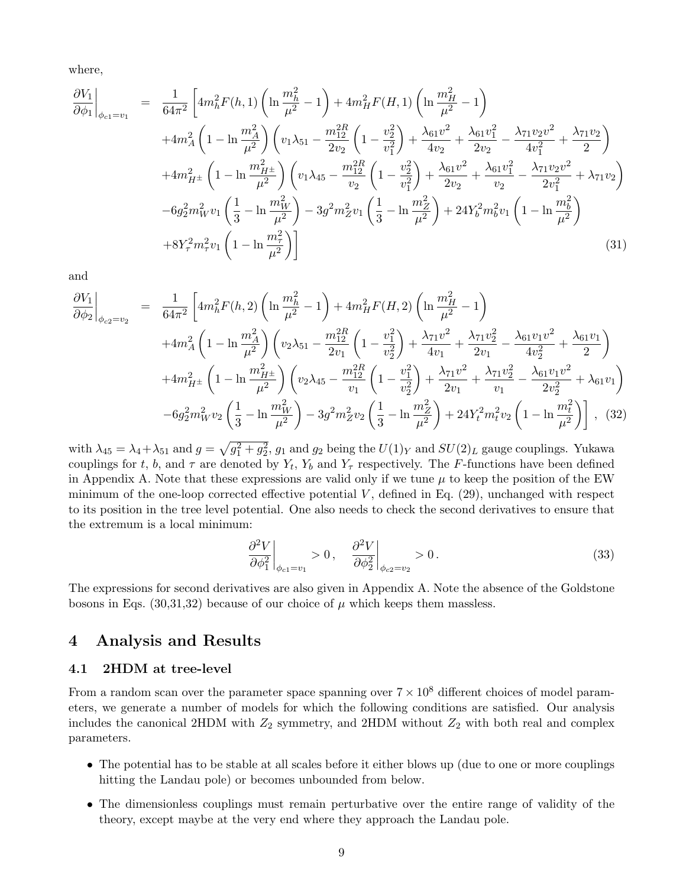where,

<span id="page-8-0"></span>
$$
\frac{\partial V_1}{\partial \phi_1}\Big|_{\phi_{c1}=v_1} = \frac{1}{64\pi^2} \left[ 4m_h^2 F(h,1) \left( \ln \frac{m_h^2}{\mu^2} - 1 \right) + 4m_H^2 F(H,1) \left( \ln \frac{m_H^2}{\mu^2} - 1 \right) \right. \\
\left. + 4m_A^2 \left( 1 - \ln \frac{m_A^2}{\mu^2} \right) \left( v_1 \lambda_{51} - \frac{m_{12}^2 R}{2v_2} \left( 1 - \frac{v_2^2}{v_1^2} \right) + \frac{\lambda_{61} v^2}{4v_2} + \frac{\lambda_{61} v_1^2}{2v_2} - \frac{\lambda_{71} v_2 v^2}{4v_1^2} + \frac{\lambda_{71} v_2}{2} \right) \right. \\
\left. + 4m_H^2 \left( 1 - \ln \frac{m_{H^\pm}^2}{\mu^2} \right) \left( v_1 \lambda_{45} - \frac{m_{12}^2 R}{v_2} \left( 1 - \frac{v_2^2}{v_1^2} \right) + \frac{\lambda_{61} v^2}{2v_2} + \frac{\lambda_{61} v_1^2}{v_2} - \frac{\lambda_{71} v_2 v^2}{2v_1^2} + \lambda_{71} v_2 \right) \right. \\
\left. - 6g_2^2 m_W^2 v_1 \left( \frac{1}{3} - \ln \frac{m_W^2}{\mu^2} \right) - 3g^2 m_Z^2 v_1 \left( \frac{1}{3} - \ln \frac{m_Z^2}{\mu^2} \right) + 24Y_b^2 m_b^2 v_1 \left( 1 - \ln \frac{m_b^2}{\mu^2} \right) \right. \\
\left. + 8Y_r^2 m_\tau^2 v_1 \left( 1 - \ln \frac{m_\tau^2}{\mu^2} \right) \right]
$$
\n(31)

and

<span id="page-8-1"></span>
$$
\frac{\partial V_1}{\partial \phi_2}\Big|_{\phi_{c2}=v_2} = \frac{1}{64\pi^2} \left[4m_h^2 F(h,2) \left(\ln \frac{m_h^2}{\mu^2} - 1\right) + 4m_H^2 F(H,2) \left(\ln \frac{m_H^2}{\mu^2} - 1\right) \right.\n+4m_A^2 \left(1 - \ln \frac{m_A^2}{\mu^2}\right) \left(v_2 \lambda_{51} - \frac{m_{12}^2 R}{2v_1} \left(1 - \frac{v_1^2}{v_2^2}\right) + \frac{\lambda_{71} v^2}{4v_1} + \frac{\lambda_{71} v_2^2}{2v_1} - \frac{\lambda_{61} v_1 v^2}{4v_2^2} + \frac{\lambda_{61} v_1}{2}\right) \right.\n+4m_H^2 \left(1 - \ln \frac{m_{H^\pm}^2}{\mu^2}\right) \left(v_2 \lambda_{45} - \frac{m_{12}^2 R}{v_1} \left(1 - \frac{v_1^2}{v_2^2}\right) + \frac{\lambda_{71} v^2}{2v_1} + \frac{\lambda_{71} v_2^2}{v_1} - \frac{\lambda_{61} v_1 v^2}{2v_2^2} + \lambda_{61} v_1\right) \right.\n-6g_2^2 m_W^2 v_2 \left(\frac{1}{3} - \ln \frac{m_W^2}{\mu^2}\right) - 3g^2 m_Z^2 v_2 \left(\frac{1}{3} - \ln \frac{m_Z^2}{\mu^2}\right) + 24Y_t^2 m_t^2 v_2 \left(1 - \ln \frac{m_t^2}{\mu^2}\right)\right], (32)
$$

with  $\lambda_{45} = \lambda_4 + \lambda_{51}$  and  $g = \sqrt{g_1^2 + g_2^2}$ ,  $g_1$  and  $g_2$  being the  $U(1)_Y$  and  $SU(2)_L$  gauge couplings. Yukawa couplings for t, b, and  $\tau$  are denoted by  $Y_t$ ,  $Y_b$  and  $Y_\tau$  respectively. The F-functions have been defined in Appendix A. Note that these expressions are valid only if we tune  $\mu$  to keep the position of the EW minimum of the one-loop corrected effective potential  $V$ , defined in Eq. [\(29\)](#page-7-2), unchanged with respect to its position in the tree level potential. One also needs to check the second derivatives to ensure that the extremum is a local minimum:

$$
\left. \frac{\partial^2 V}{\partial \phi_1^2} \right|_{\phi_{c1} = v_1} > 0, \quad \left. \frac{\partial^2 V}{\partial \phi_2^2} \right|_{\phi_{c2} = v_2} > 0.
$$
\n(33)

The expressions for second derivatives are also given in Appendix A. Note the absence of the Goldstone bosons in Eqs. [\(30,](#page-7-3)[31,](#page-8-0)[32\)](#page-8-1) because of our choice of  $\mu$  which keeps them massless.

# 4 Analysis and Results

#### 4.1 2HDM at tree-level

From a random scan over the parameter space spanning over  $7 \times 10^8$  different choices of model parameters, we generate a number of models for which the following conditions are satisfied. Our analysis includes the canonical 2HDM with  $Z_2$  symmetry, and 2HDM without  $Z_2$  with both real and complex parameters.

- The potential has to be stable at all scales before it either blows up (due to one or more couplings) hitting the Landau pole) or becomes unbounded from below.
- The dimensionless couplings must remain perturbative over the entire range of validity of the theory, except maybe at the very end where they approach the Landau pole.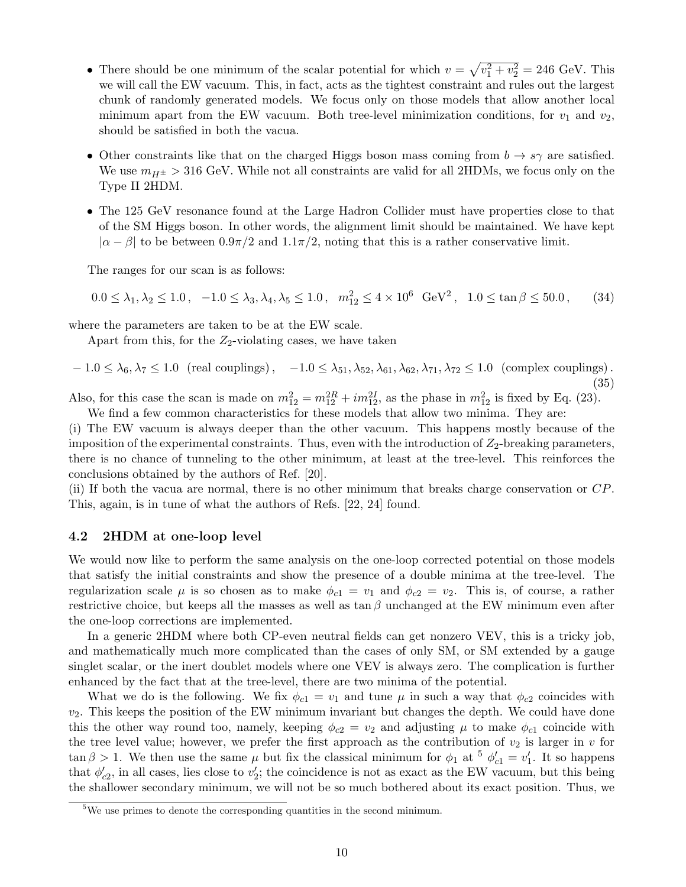- There should be one minimum of the scalar potential for which  $v = \sqrt{v_1^2 + v_2^2} = 246$  GeV. This we will call the EW vacuum. This, in fact, acts as the tightest constraint and rules out the largest chunk of randomly generated models. We focus only on those models that allow another local minimum apart from the EW vacuum. Both tree-level minimization conditions, for  $v_1$  and  $v_2$ , should be satisfied in both the vacua.
- Other constraints like that on the charged Higgs boson mass coming from  $b \to s\gamma$  are satisfied. We use  $m_{H^{\pm}} > 316$  GeV. While not all constraints are valid for all 2HDMs, we focus only on the Type II 2HDM.
- The 125 GeV resonance found at the Large Hadron Collider must have properties close to that of the SM Higgs boson. In other words, the alignment limit should be maintained. We have kept  $|\alpha - \beta|$  to be between  $0.9\pi/2$  and  $1.1\pi/2$ , noting that this is a rather conservative limit.

The ranges for our scan is as follows:

 $0.0 \le \lambda_1, \lambda_2 \le 1.0$ ,  $-1.0 \le \lambda_3, \lambda_4, \lambda_5 \le 1.0$ ,  $m_{12}^2 \le 4 \times 10^6$  GeV<sup>2</sup>,  $1.0 \le \tan \beta \le 50.0$ , (34)

where the parameters are taken to be at the EW scale.

Apart from this, for the  $Z_2$ -violating cases, we have taken

 $-1.0 \leq \lambda_6, \lambda_7 \leq 1.0$  (real couplings),  $-1.0 \leq \lambda_{51}, \lambda_{52}, \lambda_{61}, \lambda_{62}, \lambda_{71}, \lambda_{72} \leq 1.0$  (complex couplings). (35)

Also, for this case the scan is made on  $m_{12}^2 = m_{12}^{2R} + im_{12}^{2I}$ , as the phase in  $m_{12}^2$  is fixed by Eq. [\(23\)](#page-6-0).

We find a few common characteristics for these models that allow two minima. They are:

(i) The EW vacuum is always deeper than the other vacuum. This happens mostly because of the imposition of the experimental constraints. Thus, even with the introduction of  $Z_2$ -breaking parameters, there is no chance of tunneling to the other minimum, at least at the tree-level. This reinforces the conclusions obtained by the authors of Ref. [\[20\]](#page-19-17).

(ii) If both the vacua are normal, there is no other minimum that breaks charge conservation or CP. This, again, is in tune of what the authors of Refs. [\[22,](#page-20-1) [24\]](#page-20-3) found.

# 4.2 2HDM at one-loop level

We would now like to perform the same analysis on the one-loop corrected potential on those models that satisfy the initial constraints and show the presence of a double minima at the tree-level. The regularization scale  $\mu$  is so chosen as to make  $\phi_{c1} = v_1$  and  $\phi_{c2} = v_2$ . This is, of course, a rather restrictive choice, but keeps all the masses as well as tan  $\beta$  unchanged at the EW minimum even after the one-loop corrections are implemented.

In a generic 2HDM where both CP-even neutral fields can get nonzero VEV, this is a tricky job, and mathematically much more complicated than the cases of only SM, or SM extended by a gauge singlet scalar, or the inert doublet models where one VEV is always zero. The complication is further enhanced by the fact that at the tree-level, there are two minima of the potential.

What we do is the following. We fix  $\phi_{c1} = v_1$  and tune  $\mu$  in such a way that  $\phi_{c2}$  coincides with  $v_2$ . This keeps the position of the EW minimum invariant but changes the depth. We could have done this the other way round too, namely, keeping  $\phi_{c2} = v_2$  and adjusting  $\mu$  to make  $\phi_{c1}$  coincide with the tree level value; however, we prefer the first approach as the contribution of  $v_2$  is larger in v for  $\tan \beta > 1$ . We then use the same  $\mu$  but fix the classical minimum for  $\phi_1$  at  $\phi'_{c1} = v'_1$ . It so happens that  $\phi'_{c2}$ , in all cases, lies close to  $v'_2$ ; the coincidence is not as exact as the EW vacuum, but this being the shallower secondary minimum, we will not be so much bothered about its exact position. Thus, we

<span id="page-9-0"></span><sup>&</sup>lt;sup>5</sup>We use primes to denote the corresponding quantities in the second minimum.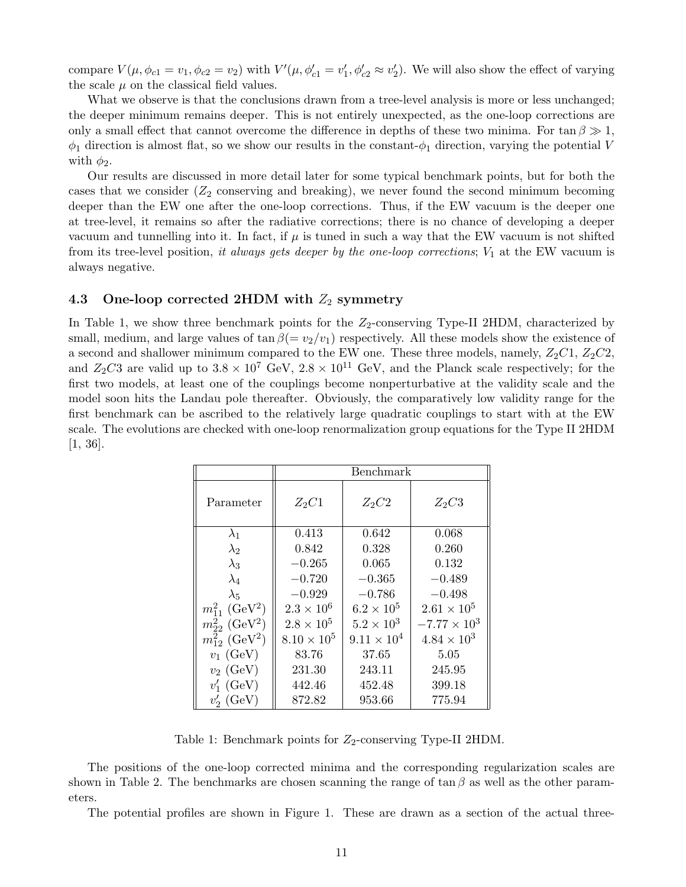compare  $V(\mu, \phi_{c1} = v_1, \phi_{c2} = v_2)$  with  $V'(\mu, \phi'_{c1} = v'_1, \phi'_{c2} \approx v'_2)$ . We will also show the effect of varying the scale  $\mu$  on the classical field values.

What we observe is that the conclusions drawn from a tree-level analysis is more or less unchanged; the deeper minimum remains deeper. This is not entirely unexpected, as the one-loop corrections are only a small effect that cannot overcome the difference in depths of these two minima. For tan  $\beta \gg 1$ ,  $\phi_1$  direction is almost flat, so we show our results in the constant- $\phi_1$  direction, varying the potential V with  $\phi_2$ .

Our results are discussed in more detail later for some typical benchmark points, but for both the cases that we consider  $(Z_2)$  conserving and breaking), we never found the second minimum becoming deeper than the EW one after the one-loop corrections. Thus, if the EW vacuum is the deeper one at tree-level, it remains so after the radiative corrections; there is no chance of developing a deeper vacuum and tunnelling into it. In fact, if  $\mu$  is tuned in such a way that the EW vacuum is not shifted from its tree-level position, it always gets deeper by the one-loop corrections;  $V_1$  at the EW vacuum is always negative.

# 4.3 One-loop corrected 2HDM with  $Z_2$  symmetry

In Table [1,](#page-10-0) we show three benchmark points for the  $Z_2$ -conserving Type-II 2HDM, characterized by small, medium, and large values of  $\tan \beta (= v_2/v_1)$  respectively. All these models show the existence of a second and shallower minimum compared to the EW one. These three models, namely,  $Z_2C1$ ,  $Z_2C2$ , and  $Z_2C3$  are valid up to  $3.8 \times 10^7$  GeV,  $2.8 \times 10^{11}$  GeV, and the Planck scale respectively; for the first two models, at least one of the couplings become nonperturbative at the validity scale and the model soon hits the Landau pole thereafter. Obviously, the comparatively low validity range for the first benchmark can be ascribed to the relatively large quadratic couplings to start with at the EW scale. The evolutions are checked with one-loop renormalization group equations for the Type II 2HDM [\[1,](#page-18-0) [36\]](#page-20-15).

|                                | Benchmark            |                      |                      |  |  |
|--------------------------------|----------------------|----------------------|----------------------|--|--|
| Parameter                      | $Z_2C1$              | $Z_2C2$              | $Z_2C_3$             |  |  |
| $\lambda_1$                    | 0.413                | 0.642                | 0.068                |  |  |
| $\lambda_2$                    | 0.842                | 0.328                | 0.260                |  |  |
| $\lambda_3$                    | $-0.265$             | 0.065                | 0.132                |  |  |
| $\lambda_4$                    | $-0.720$             | $-0.365$             | $-0.489$             |  |  |
| $\lambda_5$                    | $-0.929$             | $-0.786$             | $-0.498$             |  |  |
| $m_{11}^2 \text{ (GeV}^2)$     | $2.3 \times 10^6$    | $6.2 \times 10^5$    | $2.61 \times 10^{5}$ |  |  |
| $m_{22}^2$ (GeV <sup>2</sup> ) | $2.8 \times 10^5$    | $5.2 \times 10^3$    | $-7.77 \times 10^3$  |  |  |
| $m_{12}^2$ (GeV <sup>2</sup> ) | $8.10 \times 10^{5}$ | $9.11 \times 10^{4}$ | $4.84 \times 10^{3}$ |  |  |
| $v_1$ (GeV)                    | 83.76                | 37.65                | 5.05                 |  |  |
| $v_2$ (GeV)                    | 231.30               | 243.11               | 245.95               |  |  |
| $v'_1$ (GeV)                   | 442.46               | 452.48               | 399.18               |  |  |
| $v_2'$ (GeV)                   | 872.82               | 953.66               | 775.94               |  |  |

<span id="page-10-0"></span>Table 1: Benchmark points for  $Z_2$ -conserving Type-II 2HDM.

The positions of the one-loop corrected minima and the corresponding regularization scales are shown in Table [2.](#page-11-0) The benchmarks are chosen scanning the range of tan  $\beta$  as well as the other parameters.

The potential profiles are shown in Figure [1.](#page-11-1) These are drawn as a section of the actual three-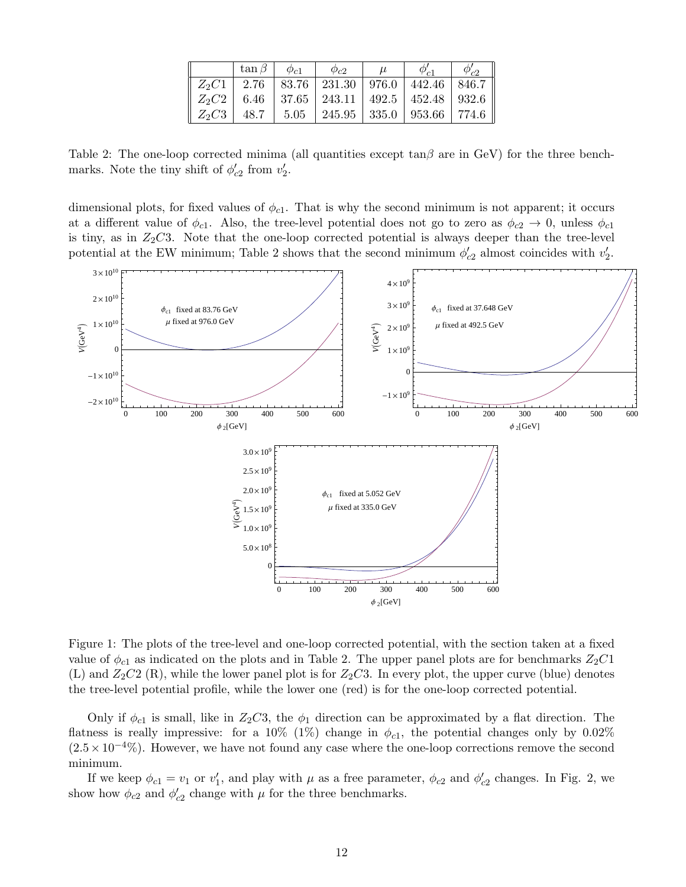|         | $\tan \beta$ | $\phi_{c1}$ | $\phi_{c2}$                                              | $\mu$ | $\phi_{c1}'$ | $\phi'_{c2}$ |
|---------|--------------|-------------|----------------------------------------------------------|-------|--------------|--------------|
|         |              |             | $Z_2C1$   2.76   83.76   231.30   976.0   442.46   846.7 |       |              |              |
|         |              |             | $Z_2C2$   6.46   37.65   243.11   492.5   452.48   932.6 |       |              |              |
| $Z_2C3$ | 48.7         | 5.05        | 245.95   335.0   953.66   774.6                          |       |              |              |

<span id="page-11-0"></span>Table 2: The one-loop corrected minima (all quantities except tan $\beta$  are in GeV) for the three benchmarks. Note the tiny shift of  $\phi'_{c2}$  from  $v'_2$ .

dimensional plots, for fixed values of  $\phi_{c1}$ . That is why the second minimum is not apparent; it occurs at a different value of  $\phi_{c1}$ . Also, the tree-level potential does not go to zero as  $\phi_{c2} \to 0$ , unless  $\phi_{c1}$ is tiny, as in  $Z_2C3$ . Note that the one-loop corrected potential is always deeper than the tree-level potential at the EW minimum; Table [2](#page-11-0) shows that the second minimum  $\phi'_{c2}$  almost coincides with  $v'_2$ .



<span id="page-11-1"></span>Figure 1: The plots of the tree-level and one-loop corrected potential, with the section taken at a fixed value of  $\phi_{c1}$  as indicated on the plots and in Table [2.](#page-11-0) The upper panel plots are for benchmarks  $Z_2C1$ (L) and  $Z_2C_2$  (R), while the lower panel plot is for  $Z_2C_3$ . In every plot, the upper curve (blue) denotes the tree-level potential profile, while the lower one (red) is for the one-loop corrected potential.

Only if  $\phi_{c1}$  is small, like in  $Z_2C_3$ , the  $\phi_1$  direction can be approximated by a flat direction. The flatness is really impressive: for a 10% (1%) change in  $\phi_{c1}$ , the potential changes only by 0.02%  $(2.5\times10^{-4}\%)$ . However, we have not found any case where the one-loop corrections remove the second minimum.

If we keep  $\phi_{c1} = v_1$  or  $v'_1$ , and play with  $\mu$  as a free parameter,  $\phi_{c2}$  and  $\phi'_{c2}$  changes. In Fig. [2,](#page-12-0) we show how  $\phi_{c2}$  and  $\phi'_{c2}$  change with  $\mu$  for the three benchmarks.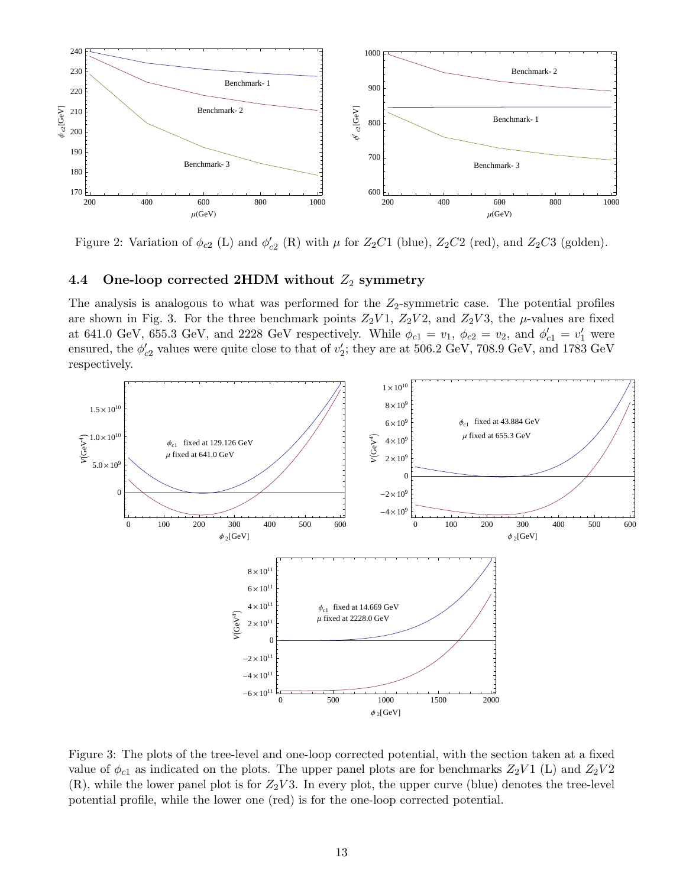

<span id="page-12-0"></span>Figure 2: Variation of  $\phi_{c2}$  (L) and  $\phi'_{c2}$  (R) with  $\mu$  for  $Z_2C1$  (blue),  $Z_2C2$  (red), and  $Z_2C3$  (golden).

#### 4.4 One-loop corrected 2HDM without  $Z_2$  symmetry

The analysis is analogous to what was performed for the  $Z_2$ -symmetric case. The potential profiles are shown in Fig. [3.](#page-12-1) For the three benchmark points  $Z_2V1$ ,  $Z_2V2$ , and  $Z_2V3$ , the  $\mu$ -values are fixed at 641.0 GeV, 655.3 GeV, and 2228 GeV respectively. While  $\phi_{c1} = v_1$ ,  $\phi_{c2} = v_2$ , and  $\phi'_{c1} = v'_1$  were ensured, the  $\phi'_{c2}$  values were quite close to that of  $v'_2$ ; they are at 506.2 GeV, 708.9 GeV, and 1783 GeV respectively.



<span id="page-12-1"></span>Figure 3: The plots of the tree-level and one-loop corrected potential, with the section taken at a fixed value of  $\phi_{c1}$  as indicated on the plots. The upper panel plots are for benchmarks  $Z_2V1$  (L) and  $Z_2V2$  $(R)$ , while the lower panel plot is for  $Z_2V3$ . In every plot, the upper curve (blue) denotes the tree-level potential profile, while the lower one (red) is for the one-loop corrected potential.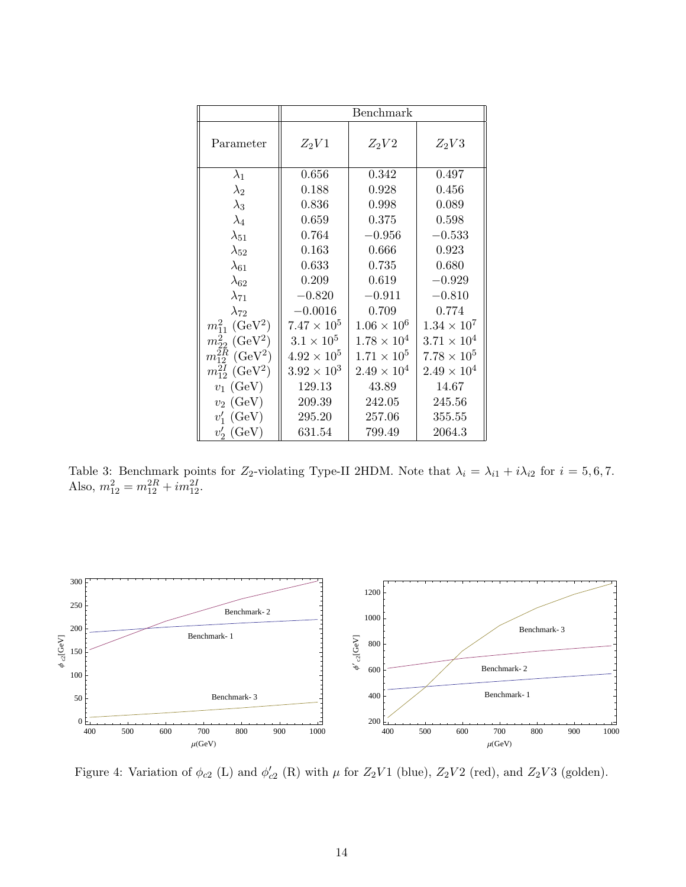|                                   | Benchmark            |                      |                      |  |  |
|-----------------------------------|----------------------|----------------------|----------------------|--|--|
| Parameter                         | $Z_2V1$              | $Z_2V2$              | $Z_2V3$              |  |  |
| $\lambda_1$                       | 0.656                | 0.342                | 0.497                |  |  |
| $\lambda_2$                       | 0.188                | 0.928                | 0.456                |  |  |
| $\lambda_3$                       | 0.836                | 0.998                | 0.089                |  |  |
| $\lambda_4$                       | 0.659                | 0.375                | 0.598                |  |  |
| $\lambda_{51}$                    | 0.764                | $-0.956$             | $-0.533$             |  |  |
| $\lambda_{52}$                    | 0.163                | 0.666                | 0.923                |  |  |
| $\lambda_{61}$                    | 0.633                | 0.735                | 0.680                |  |  |
| $\lambda_{62}$                    | 0.209                | 0.619                | $-0.929$             |  |  |
| $\lambda_{71}$                    | $-0.820$             | $-0.911$             | $-0.810$             |  |  |
| $\lambda_{72}$                    | $-0.0016$            | 0.709                | 0.774                |  |  |
| $m_{11}^2 \text{ (GeV}^2)$        | $7.47 \times 10^{5}$ | $1.06 \times 10^{6}$ | $1.34 \times 10^7$   |  |  |
| $m_{22}^2$ (GeV <sup>2</sup> )    | $3.1 \times 10^{5}$  | $1.78 \times 10^4$   | $3.71 \times 10^{4}$ |  |  |
| $m_{12}^{2R}$ (GeV <sup>2</sup> ) | $4.92 \times 10^{5}$ | $1.71 \times 10^{5}$ | $7.78 \times 10^{5}$ |  |  |
| $m_{12}^{2I}$ (GeV <sup>2</sup> ) | $3.92 \times 10^3$   | $2.49 \times 10^{4}$ | $2.49 \times 10^{4}$ |  |  |
| $v_1$ (GeV)                       | 129.13               | 43.89                | 14.67                |  |  |
| $v_2$ (GeV)                       | 209.39               | 242.05               | 245.56               |  |  |
| $v'_1$ (GeV)                      | 295.20               | 257.06               | 355.55               |  |  |
| $v_2'$ (GeV)                      | 631.54               | 799.49               | 2064.3               |  |  |

<span id="page-13-0"></span>Table 3: Benchmark points for  $Z_2$ -violating Type-II 2HDM. Note that  $\lambda_i = \lambda_{i1} + i\lambda_{i2}$  for  $i = 5, 6, 7$ . Also,  $m_{12}^2 = m_{12}^{2R} + im_{12}^{2I}$ .



<span id="page-13-1"></span>Figure 4: Variation of  $\phi_{c2}$  (L) and  $\phi'_{c2}$  (R) with  $\mu$  for  $Z_2V1$  (blue),  $Z_2V2$  (red), and  $Z_2V3$  (golden).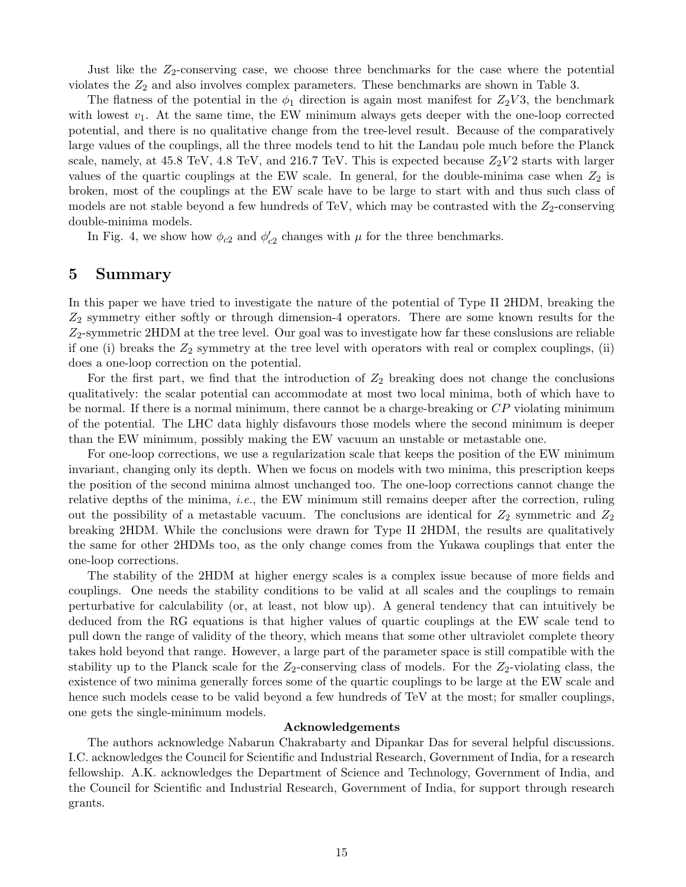Just like the  $Z_2$ -conserving case, we choose three benchmarks for the case where the potential violates the  $Z_2$  and also involves complex parameters. These benchmarks are shown in Table [3.](#page-13-0)

The flatness of the potential in the  $\phi_1$  direction is again most manifest for  $Z_2V_3$ , the benchmark with lowest  $v_1$ . At the same time, the EW minimum always gets deeper with the one-loop corrected potential, and there is no qualitative change from the tree-level result. Because of the comparatively large values of the couplings, all the three models tend to hit the Landau pole much before the Planck scale, namely, at 45.8 TeV, 4.8 TeV, and 216.7 TeV. This is expected because  $Z_2V2$  starts with larger values of the quartic couplings at the EW scale. In general, for the double-minima case when  $Z_2$  is broken, most of the couplings at the EW scale have to be large to start with and thus such class of models are not stable beyond a few hundreds of TeV, which may be contrasted with the  $Z_2$ -conserving double-minima models.

In Fig. [4,](#page-13-1) we show how  $\phi_{c2}$  and  $\phi'_{c2}$  changes with  $\mu$  for the three benchmarks.

# 5 Summary

In this paper we have tried to investigate the nature of the potential of Type II 2HDM, breaking the  $Z_2$  symmetry either softly or through dimension-4 operators. There are some known results for the  $Z_2$ -symmetric 2HDM at the tree level. Our goal was to investigate how far these conslusions are reliable if one (i) breaks the  $Z_2$  symmetry at the tree level with operators with real or complex couplings, (ii) does a one-loop correction on the potential.

For the first part, we find that the introduction of  $Z_2$  breaking does not change the conclusions qualitatively: the scalar potential can accommodate at most two local minima, both of which have to be normal. If there is a normal minimum, there cannot be a charge-breaking or  $\mathbb{CP}$  violating minimum of the potential. The LHC data highly disfavours those models where the second minimum is deeper than the EW minimum, possibly making the EW vacuum an unstable or metastable one.

For one-loop corrections, we use a regularization scale that keeps the position of the EW minimum invariant, changing only its depth. When we focus on models with two minima, this prescription keeps the position of the second minima almost unchanged too. The one-loop corrections cannot change the relative depths of the minima, i.e., the EW minimum still remains deeper after the correction, ruling out the possibility of a metastable vacuum. The conclusions are identical for  $Z_2$  symmetric and  $Z_2$ breaking 2HDM. While the conclusions were drawn for Type II 2HDM, the results are qualitatively the same for other 2HDMs too, as the only change comes from the Yukawa couplings that enter the one-loop corrections.

The stability of the 2HDM at higher energy scales is a complex issue because of more fields and couplings. One needs the stability conditions to be valid at all scales and the couplings to remain perturbative for calculability (or, at least, not blow up). A general tendency that can intuitively be deduced from the RG equations is that higher values of quartic couplings at the EW scale tend to pull down the range of validity of the theory, which means that some other ultraviolet complete theory takes hold beyond that range. However, a large part of the parameter space is still compatible with the stability up to the Planck scale for the  $Z_2$ -conserving class of models. For the  $Z_2$ -violating class, the existence of two minima generally forces some of the quartic couplings to be large at the EW scale and hence such models cease to be valid beyond a few hundreds of TeV at the most; for smaller couplings, one gets the single-minimum models.

#### Acknowledgements

The authors acknowledge Nabarun Chakrabarty and Dipankar Das for several helpful discussions. I.C. acknowledges the Council for Scientific and Industrial Research, Government of India, for a research fellowship. A.K. acknowledges the Department of Science and Technology, Government of India, and the Council for Scientific and Industrial Research, Government of India, for support through research grants.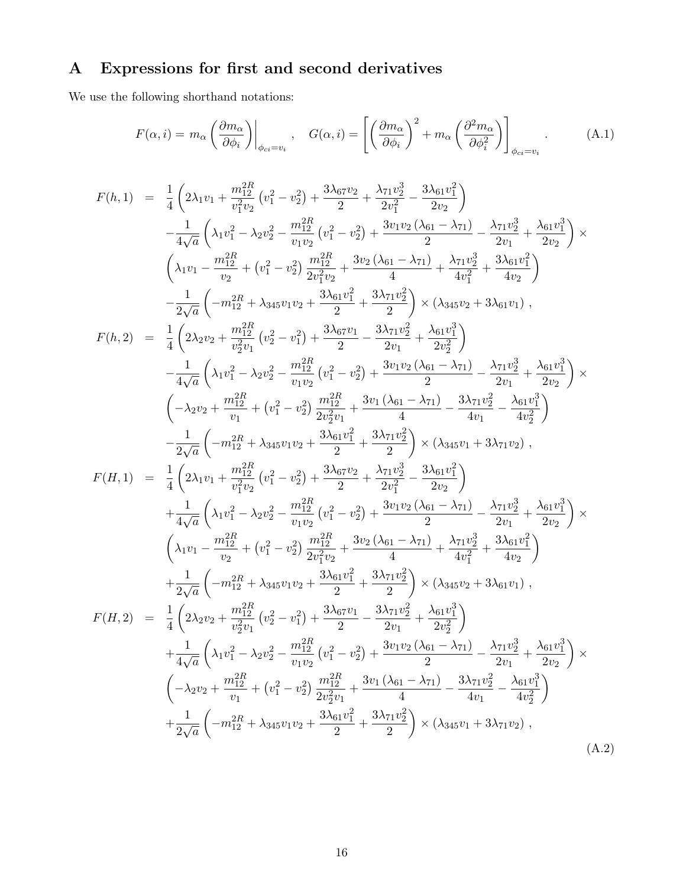# A Expressions for first and second derivatives

We use the following shorthand notations:

$$
F(\alpha, i) = m_{\alpha} \left( \frac{\partial m_{\alpha}}{\partial \phi_i} \right) \Big|_{\phi_{ci} = v_i}, \quad G(\alpha, i) = \left[ \left( \frac{\partial m_{\alpha}}{\partial \phi_i} \right)^2 + m_{\alpha} \left( \frac{\partial^2 m_{\alpha}}{\partial \phi_i^2} \right) \right]_{\phi_{ci} = v_i}.
$$
 (A.1)

$$
F(h,1) = \frac{1}{4} \left( 2\lambda_1 v_1 + \frac{m_1^2 l_1^2}{v_1^2 v_2} (v_1^2 - v_2^2) + \frac{3\lambda_{67} v_2}{2} + \frac{\lambda_{71} v_2^3}{2v_1^2} - \frac{3\lambda_{61} v_1^2}{2v_2} \right)
$$
  
\n
$$
-\frac{1}{4\sqrt{a}} \left( \lambda_1 v_1^2 - \lambda_2 v_2^2 - \frac{m_1^2 v_2}{v_1 v_2} (v_1^2 - v_2^2) + \frac{3v_1 v_2 (\lambda_{61} - \lambda_{71})}{2} - \frac{\lambda_{71} v_2^3}{2v_1} + \frac{\lambda_{61} v_1^3}{2v_2} \right) \times \left( \lambda_{1} v_1 - \frac{m_1^2 R}{v_2} + (v_1^2 - v_2^2) \frac{m_1^2 R}{2v_1^2 v_2} + \frac{3\lambda_{61} v_1^2}{2} + \frac{3\lambda_{71} v_2^3}{2} \right) \times (\lambda_{345} v_2 + 3\lambda_{61} v_1),
$$
  
\n
$$
F(h,2) = \frac{1}{4} \left( 2\lambda_2 v_2 + \frac{m_1^2 l_2}{v_2^2 v_1} (v_2^2 - v_1^2) + \frac{3\lambda_{67} v_1}{2} - \frac{3\lambda_{71} v_2^2}{2v_1} + \frac{\lambda_{61} v_1^3}{2} \right)
$$
  
\n
$$
-\frac{1}{4\sqrt{a}} \left( \lambda_1 v_1^2 - \lambda_2 v_2^2 - \frac{m_1^2 R}{v_{1} v_2} (v_1^2 - v_2^2) + \frac{3v_1 v_2^2}{2v_1^2} + \frac{\lambda_{61} v_1^3}{2} \right) \times \left( -\lambda_{2} v_2 + \frac{m_1^2 R}{v_1} + (v_1^2 - v_2^2) \frac{m_1^2 R}{2v_2^2 v_1} + \frac{3v_1 (\lambda_{61} - \lambda_{71})}{4} - \frac{3\lambda_{71} v_2^2}{4v_1} -
$$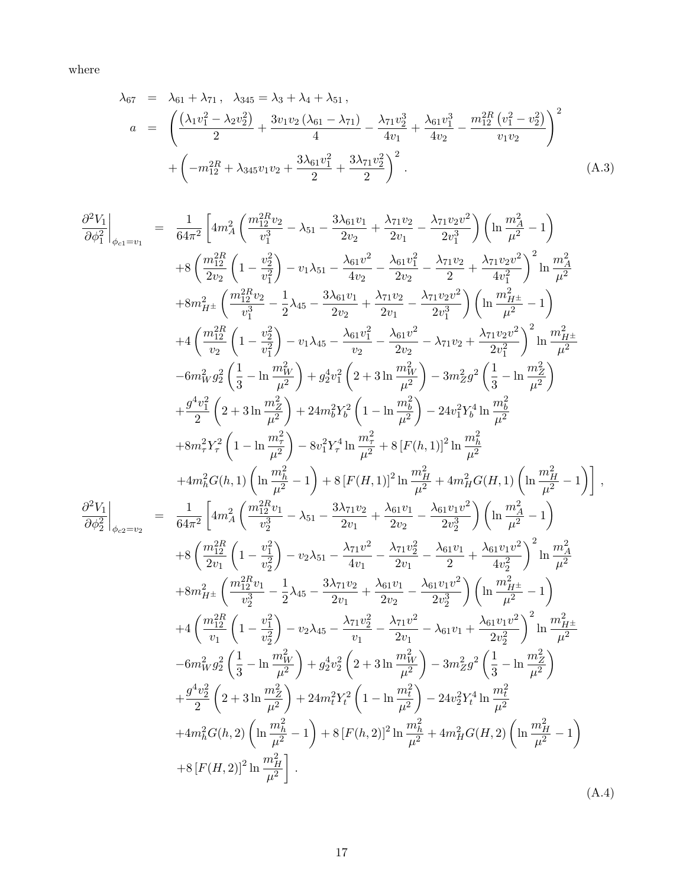where

$$
\lambda_{67} = \lambda_{61} + \lambda_{71}, \quad \lambda_{345} = \lambda_3 + \lambda_4 + \lambda_{51},
$$
\n
$$
a = \left( \frac{(\lambda_1 v_1^2 - \lambda_2 v_2^2)}{2} + \frac{3v_1 v_2 (\lambda_{61} - \lambda_{71})}{4} - \frac{\lambda_{71} v_2^3}{4v_1} + \frac{\lambda_{61} v_1^3}{4v_2} - \frac{m_{12}^{2R} (v_1^2 - v_2^2)}{v_1 v_2} \right)^2 + \left( -m_{12}^{2R} + \lambda_{345} v_1 v_2 + \frac{3\lambda_{61} v_1^2}{2} + \frac{3\lambda_{71} v_2^2}{2} \right)^2.
$$
\n(A.3)

$$
\frac{\partial^2 V_1}{\partial \phi_1^2}\Big|_{\phi_{c1}=v_1} = \frac{1}{64\pi^2} \left( 4m_A^2 \left( \frac{m_H^2 p_{c2}}{v_1^3} - \lambda_{51} - \frac{3\lambda_{01} v_1}{2v_2} + \frac{\lambda_{71} v_2}{2v_1} - \frac{\lambda_{71} v_2 v^2}{2v_1^3} \right) \left( \ln \frac{m_A^2}{\mu^2} - 1 \right) \n+8 \left( \frac{m_H^2 g}{2v_2} \left( 1 - \frac{v_2^2}{v_1^2} \right) - v_1 \lambda_{51} - \frac{\lambda_{61} v^2}{4v_2} - \frac{\lambda_{61} v_1^2}{2v_2} - \frac{\lambda_{71} v_2}{2} + \frac{\lambda_{71} v_2 v^2}{4v_1^2} \right) \ln \frac{m_A^2}{\mu^2} \n+8m_{H\pm}^2 \left( \frac{m_H^2 g}{v_1^3} v_2 - \frac{1}{2} \lambda_{45} - \frac{3\lambda_{61} v_1}{2v_1} - \frac{\lambda_{71} v_2}{2v_1} - \frac{\lambda_{71} v_2 v^3}{2v_1^3} \right) \left( \ln \frac{m_H^2}{\mu^2} - 1 \right) \n+4 \left( \frac{m_H^2 g}{v_2} \left( 1 - \frac{v_2^2}{v_1^3} \right) - v_1 \lambda_{45} - \frac{\lambda_{61} v_1^2}{v_2} - \frac{\lambda_{61} v^2}{2v_2} - \lambda_{71} v_2 + \frac{\lambda_{71} v_2 v^2}{2v_1^2} \right) \ln \frac{m_H^2}{\mu^2} \n-6m_W^2 g_2^2 \left( \frac{1}{3} - \ln \frac{m_H^2}{\mu^2} \right) + g_2^4 v_1^2 \left( 2 + 3 \ln \frac{m_W^2}{\mu^2} \right) - 3m_Z^2 g^2 \left( \frac{1}{3} - \ln \frac{m_Z^2}{\mu^2} \right) \n+ \frac{g^4 v_1^2}{2} \left( 2 + 3 \ln \frac{m_Z^2}{
$$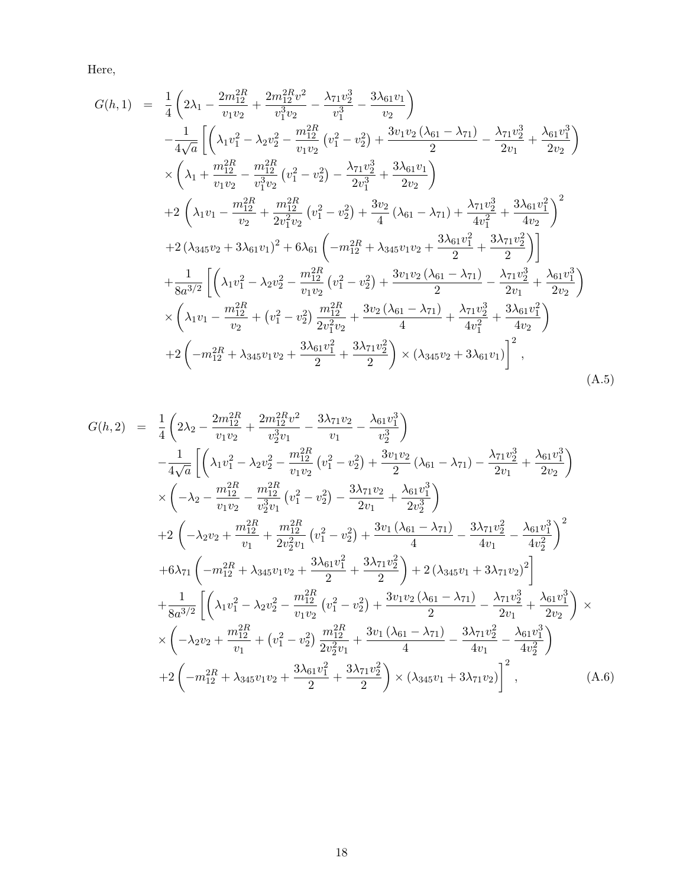Here,

$$
G(h,1) = \frac{1}{4} \left( 2\lambda_1 - \frac{2m_{12}^{2R}}{v_{1}v_{2}} + \frac{2m_{12}^{2R}v^{2}}{v_{1}^{3}v_{2}} - \frac{\lambda_{71}v_{2}^{3}}{v_{1}^{3}} - \frac{3\lambda_{61}v_{1}}{v_{2}} \right) - \frac{1}{4\sqrt{a}} \left[ \left( \lambda_{1}v_{1}^{2} - \lambda_{2}v_{2}^{2} - \frac{m_{12}^{2R}}{v_{1}v_{2}} (v_{1}^{2} - v_{2}^{2}) + \frac{3v_{1}v_{2}(\lambda_{61} - \lambda_{71})}{2} - \frac{\lambda_{71}v_{2}^{3}}{2v_{1}} + \frac{\lambda_{61}v_{1}^{3}}{2v_{2}} \right) \times \left( \lambda_{1} + \frac{m_{12}^{2R}}{v_{1}v_{2}} - \frac{m_{12}^{2R}}{v_{1}^{3}v_{2}} (v_{1}^{2} - v_{2}^{2}) - \frac{\lambda_{71}v_{2}^{3}}{2v_{1}^{3}} + \frac{3\lambda_{61}v_{1}}{2v_{2}} \right) + 2 \left( \lambda_{1}v_{1} - \frac{m_{12}^{2R}}{v_{2}} + \frac{m_{12}^{2R}}{2v_{1}^{2}v_{2}} (v_{1}^{2} - v_{2}^{2}) + \frac{3v_{2}}{4} (\lambda_{61} - \lambda_{71}) + \frac{\lambda_{71}v_{2}^{3}}{4v_{2}^{2}} + \frac{3\lambda_{61}v_{1}^{2}}{4v_{2}} \right)^{2} + 2 (\lambda_{345}v_{2} + 3\lambda_{61}v_{1})^{2} + 6\lambda_{61} \left( -m_{12}^{2R} + \lambda_{345}v_{1}v_{2} + \frac{3\lambda_{61}v_{1}^{2}}{2} + \frac{3\lambda_{71}v_{2}^{3}}{2} \right) + \frac{1}{8a^{3/2}} \left[ \left( \lambda_{1}v_{1}^{2} - \lambda_{2}v_{2}^{2} - \frac{m_{12}^{2R}}{v_{1}v_{2}} (v_{1}^{2} - v_{2}
$$

$$
G(h,2) = \frac{1}{4} \left( 2\lambda_2 - \frac{2m_{12}^{2R}}{v_{1}v_{2}} + \frac{2m_{12}^{2R}v^{2}}{v_{2}^{3}v_{1}} - \frac{3\lambda_{71}v_{2}}{v_{1}} - \frac{\lambda_{61}v_{1}^{3}}{v_{2}^{3}} \right) - \frac{1}{4\sqrt{a}} \left[ \left( \lambda_1 v_{1}^{2} - \lambda_2 v_{2}^{2} - \frac{m_{12}^{2R}}{v_{1}v_{2}} (v_{1}^{2} - v_{2}^{2}) + \frac{3v_{1}v_{2}}{2} (\lambda_{61} - \lambda_{71}) - \frac{\lambda_{71}v_{2}^{3}}{2v_{1}} + \frac{\lambda_{61}v_{1}^{3}}{2v_{2}} \right) \times \left( -\lambda_2 - \frac{m_{12}^{2R}}{v_{1}v_{2}} - \frac{m_{12}^{2R}}{v_{2}^{3}v_{1}} (v_{1}^{2} - v_{2}^{2}) - \frac{3\lambda_{71}v_{2}}{2v_{1}} + \frac{\lambda_{61}v_{1}^{3}}{2v_{2}^{3}} \right) + 2 \left( -\lambda_2 v_{2} + \frac{m_{12}^{2R}}{v_{1}} + \frac{m_{12}^{2R}}{2v_{2}^{2}v_{1}} (v_{1}^{2} - v_{2}^{2}) + \frac{3v_{1}(\lambda_{61} - \lambda_{71})}{4} - \frac{3\lambda_{71}v_{2}^{2}}{4v_{1}} - \frac{\lambda_{61}v_{1}^{3}}{4v_{2}^{2}} \right)^{2} + 6\lambda_{71} \left( -m_{12}^{2R} + \lambda_{345}v_{1}v_{2} + \frac{3\lambda_{61}v_{1}^{2}}{2} + \frac{3\lambda_{71}v_{2}^{2}}{2} \right) + 2 (\lambda_{345}v_{1} + 3\lambda_{71}v_{2})^{2} \right] + \frac{1}{8a^{3/2}} \left[ \left( \lambda_1 v_{1}^{2} - \lambda_2 v_{2}^{2} - \frac{m_{12}^{2R}}{v_{1}v_{2}} (v_{1}^{2} - v_{2}^{2
$$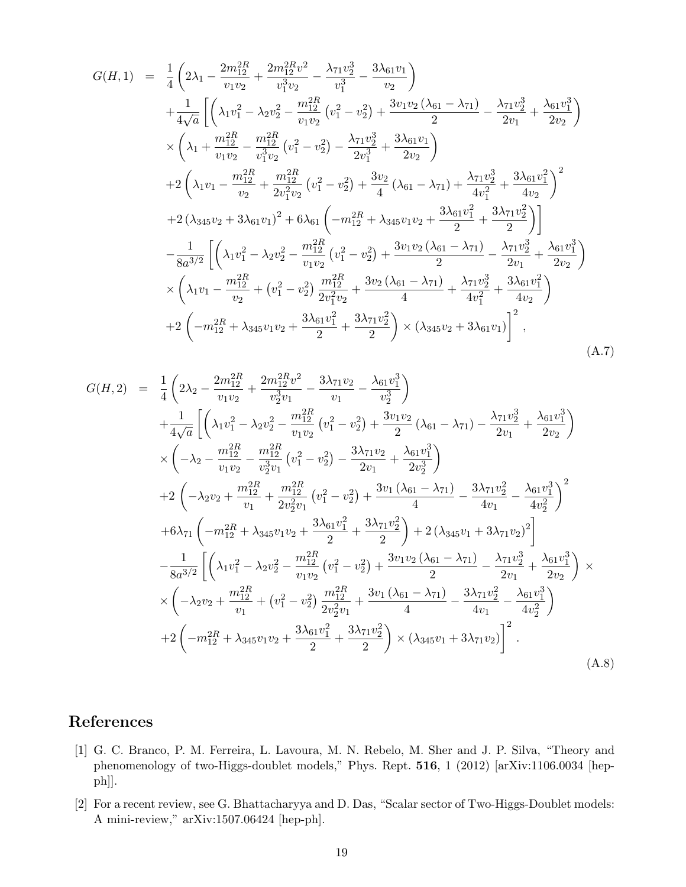$$
G(H,1) = \frac{1}{4} \left( 2\lambda_1 - \frac{2m_{12}^{2R}R}{v_1v_2} + \frac{2m_{12}^{2R}v^2}{v_1^3v_2} - \frac{\lambda_{71}v_2^3}{v_1^3} - \frac{3\lambda_{61}v_1}{v_2} \right) + \frac{1}{4\sqrt{a}} \left[ \left( \lambda_1v_1^2 - \lambda_2v_2^2 - \frac{m_{12}^{2R}}{v_1v_2} (v_1^2 - v_2^2) + \frac{3v_1v_2(\lambda_{61} - \lambda_{71})}{2} - \frac{\lambda_{71}v_2^3}{2v_1} + \frac{\lambda_{61}v_1^3}{2v_2} \right) \times \left( \lambda_1 + \frac{m_{12}^{2R}}{v_1v_2} - \frac{m_{12}^{2R}}{v_1^3v_2} (v_1^2 - v_2^2) - \frac{\lambda_{71}v_2^3}{2v_1^3} + \frac{3\lambda_{61}v_1}{2v_2} \right) + 2 \left( \lambda_1v_1 - \frac{m_{12}^{2R}}{v_2} + \frac{m_{12}^{2R}}{2v_1^2v_2} (v_1^2 - v_2^2) + \frac{3v_2}{4} (\lambda_{61} - \lambda_{71}) + \frac{\lambda_{71}v_2^3}{4v_1^2} + \frac{3\lambda_{61}v_1^2}{4v_2} \right)^2 + 2 (\lambda_{345}v_2 + 3\lambda_{61}v_1)^2 + 6\lambda_{61} \left( -m_{12}^{2R} + \lambda_{345}v_1v_2 + \frac{3\lambda_{61}v_1^2}{2} + \frac{3\lambda_{71}v_2^3}{2} \right) - \frac{1}{8a^{3/2}} \left[ \left( \lambda_1v_1^2 - \lambda_2v_2^2 - \frac{m_{12}^{2R}}{v_1v_2} (v_1^2 - v_2^2) + \frac{3v_1v_2(\lambda_{61} - \lambda_{71})}{2} - \frac{\lambda_{71}v_2^3}{2v_1} + \frac{\lambda_{61}v_1^3}{2v_
$$

$$
G(H,2) = \frac{1}{4} \left( 2\lambda_2 - \frac{2m_{12}^{2R} + 2m_{12}^{2R}v^2}{v_2^3v_1} - \frac{3\lambda_{71}v_2}{v_1} - \frac{\lambda_{61}v_1^3}{v_2^3} \right) + \frac{1}{4\sqrt{a}} \left[ \left( \lambda_1v_1^2 - \lambda_2v_2^2 - \frac{m_{12}^{2R}}{v_1v_2} (v_1^2 - v_2^2) + \frac{3v_1v_2}{2} (\lambda_{61} - \lambda_{71}) - \frac{\lambda_{71}v_2^3}{2v_1} + \frac{\lambda_{61}v_1^3}{2v_2} \right) \times \left( -\lambda_2 - \frac{m_{12}^{2R}}{v_1v_2} - \frac{m_{12}^{2R}}{v_2^3v_1} (v_1^2 - v_2^2) - \frac{3\lambda_{71}v_2}{2v_1} + \frac{\lambda_{61}v_1^3}{2v_2^3} \right) + 2 \left( -\lambda_2v_2 + \frac{m_{12}^{2R}}{v_1} + \frac{m_{12}^{2R}}{2v_2^2v_1} (v_1^2 - v_2^2) + \frac{3v_1(\lambda_{61} - \lambda_{71})}{4} - \frac{3\lambda_{71}v_2^2}{4v_1} - \frac{\lambda_{61}v_1^3}{4v_2^2} \right) + 6\lambda_{71} \left( -m_{12}^{2R} + \lambda_{345}v_1v_2 + \frac{3\lambda_{61}v_1^2}{2} + \frac{3\lambda_{71}v_2^2}{2} \right) + 2 (\lambda_{345}v_1 + 3\lambda_{71}v_2)^2 \right] - \frac{1}{8a^{3/2}} \left[ \left( \lambda_1v_1^2 - \lambda_2v_2^2 - \frac{m_{12}^{2R}}{v_1v_2} (v_1^2 - v_2^2) + \frac{3v_1v_2(\lambda_{61} - \lambda_{71})}{2} - \frac{\lambda_{71}v_2^3}{2v_1} + \frac{\lambda_{61}v_1^3}{2v_2} \right) \times
$$

# References

- <span id="page-18-0"></span>[1] G. C. Branco, P. M. Ferreira, L. Lavoura, M. N. Rebelo, M. Sher and J. P. Silva, "Theory and phenomenology of two-Higgs-doublet models," Phys. Rept. 516, 1 (2012) [arXiv:1106.0034 [hepph]].
- <span id="page-18-1"></span>[2] For a recent review, see G. Bhattacharyya and D. Das, "Scalar sector of Two-Higgs-Doublet models: A mini-review," arXiv:1507.06424 [hep-ph].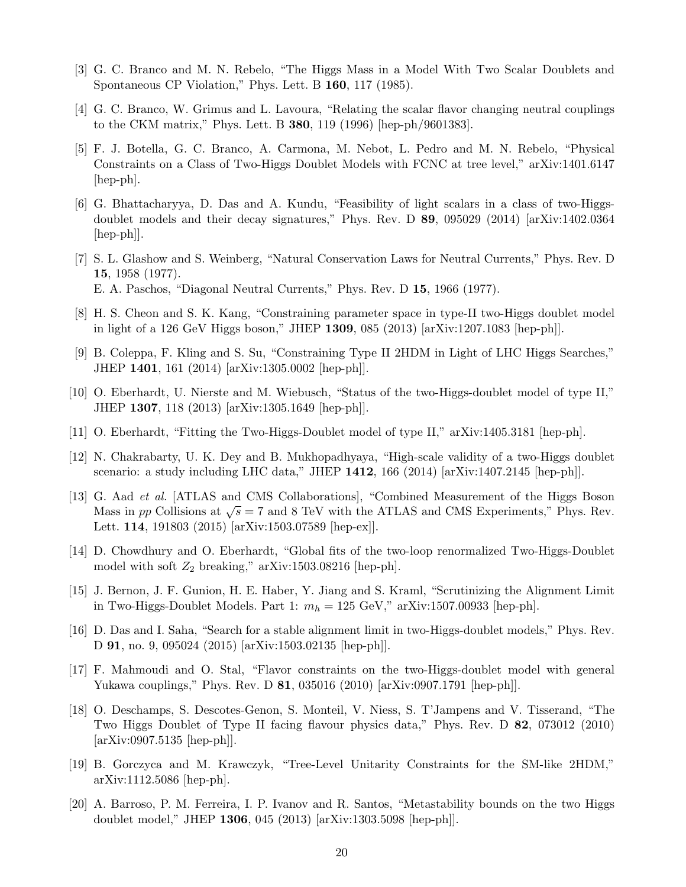- <span id="page-19-9"></span>[3] G. C. Branco and M. N. Rebelo, "The Higgs Mass in a Model With Two Scalar Doublets and Spontaneous CP Violation," Phys. Lett. B 160, 117 (1985).
- <span id="page-19-0"></span>[4] G. C. Branco, W. Grimus and L. Lavoura, "Relating the scalar flavor changing neutral couplings to the CKM matrix," Phys. Lett. B 380, 119 (1996) [hep-ph/9601383].
- <span id="page-19-1"></span>[5] F. J. Botella, G. C. Branco, A. Carmona, M. Nebot, L. Pedro and M. N. Rebelo, "Physical Constraints on a Class of Two-Higgs Doublet Models with FCNC at tree level," arXiv:1401.6147 [hep-ph].
- <span id="page-19-2"></span>[6] G. Bhattacharyya, D. Das and A. Kundu, "Feasibility of light scalars in a class of two-Higgsdoublet models and their decay signatures," Phys. Rev. D 89, 095029 (2014) [arXiv:1402.0364 [hep-ph]].
- <span id="page-19-3"></span>[7] S. L. Glashow and S. Weinberg, "Natural Conservation Laws for Neutral Currents," Phys. Rev. D 15, 1958 (1977). E. A. Paschos, "Diagonal Neutral Currents," Phys. Rev. D 15, 1966 (1977).
- <span id="page-19-4"></span>[8] H. S. Cheon and S. K. Kang, "Constraining parameter space in type-II two-Higgs doublet model in light of a 126 GeV Higgs boson," JHEP 1309, 085 (2013) [arXiv:1207.1083 [hep-ph]].
- <span id="page-19-5"></span>[9] B. Coleppa, F. Kling and S. Su, "Constraining Type II 2HDM in Light of LHC Higgs Searches," JHEP 1401, 161 (2014) [arXiv:1305.0002 [hep-ph]].
- <span id="page-19-6"></span>[10] O. Eberhardt, U. Nierste and M. Wiebusch, "Status of the two-Higgs-doublet model of type II," JHEP 1307, 118 (2013) [arXiv:1305.1649 [hep-ph]].
- <span id="page-19-7"></span>[11] O. Eberhardt, "Fitting the Two-Higgs-Doublet model of type II," arXiv:1405.3181 [hep-ph].
- <span id="page-19-8"></span>[12] N. Chakrabarty, U. K. Dey and B. Mukhopadhyaya, "High-scale validity of a two-Higgs doublet scenario: a study including LHC data," JHEP  $1412$ , 166 (2014) [arXiv:1407.2145 [hep-ph]].
- <span id="page-19-10"></span>[13] G. Aad et al. [ATLAS and CMS Collaborations], "Combined Measurement of the Higgs Boson Mass in pp Collisions at  $\sqrt{s}$  = 7 and 8 TeV with the ATLAS and CMS Experiments," Phys. Rev. Lett. 114, 191803 (2015) [arXiv:1503.07589 [hep-ex]].
- <span id="page-19-11"></span>[14] D. Chowdhury and O. Eberhardt, "Global fits of the two-loop renormalized Two-Higgs-Doublet model with soft  $Z_2$  breaking," arXiv:1503.08216 [hep-ph].
- <span id="page-19-12"></span>[15] J. Bernon, J. F. Gunion, H. E. Haber, Y. Jiang and S. Kraml, "Scrutinizing the Alignment Limit in Two-Higgs-Doublet Models. Part 1:  $m_h = 125 \text{ GeV}$ ," arXiv:1507.00933 [hep-ph].
- <span id="page-19-13"></span>[16] D. Das and I. Saha, "Search for a stable alignment limit in two-Higgs-doublet models," Phys. Rev. D 91, no. 9, 095024 (2015) [arXiv:1503.02135 [hep-ph]].
- <span id="page-19-14"></span>[17] F. Mahmoudi and O. Stal, "Flavor constraints on the two-Higgs-doublet model with general Yukawa couplings," Phys. Rev. D 81, 035016 (2010) [arXiv:0907.1791 [hep-ph]].
- <span id="page-19-15"></span>[18] O. Deschamps, S. Descotes-Genon, S. Monteil, V. Niess, S. T'Jampens and V. Tisserand, "The Two Higgs Doublet of Type II facing flavour physics data," Phys. Rev. D 82, 073012 (2010) [arXiv:0907.5135 [hep-ph]].
- <span id="page-19-16"></span>[19] B. Gorczyca and M. Krawczyk, "Tree-Level Unitarity Constraints for the SM-like 2HDM," arXiv:1112.5086 [hep-ph].
- <span id="page-19-17"></span>[20] A. Barroso, P. M. Ferreira, I. P. Ivanov and R. Santos, "Metastability bounds on the two Higgs doublet model," JHEP 1306, 045 (2013) [arXiv:1303.5098 [hep-ph]].